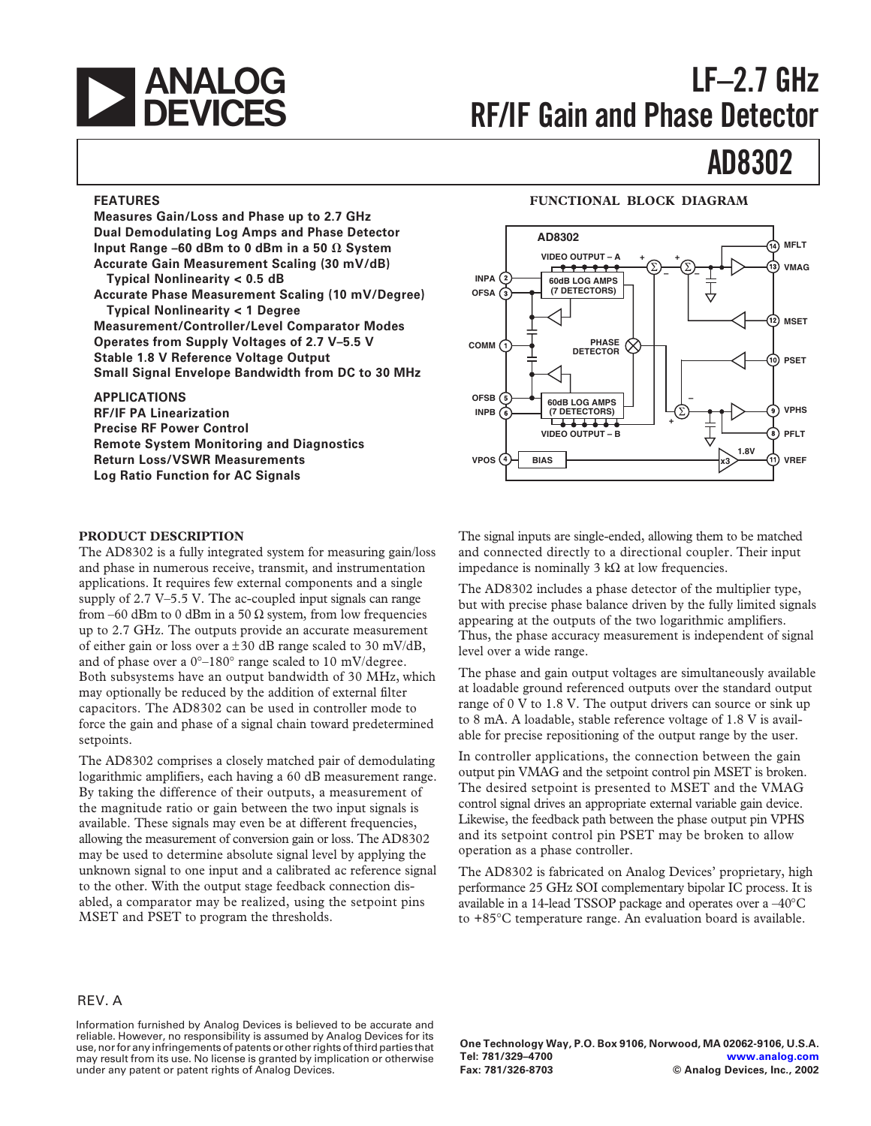

# **LF–2.7 GHz RF/IF Gain and Phase Detector**

# **AD8302**

### **FEATURES**

**Measures Gain/Loss and Phase up to 2.7 GHz Dual Demodulating Log Amps and Phase Detector Input Range –60 dBm to 0 dBm in a 50**  $\Omega$  **System Accurate Gain Measurement Scaling (30 mV/dB) Typical Nonlinearity < 0.5 dB Accurate Phase Measurement Scaling (10 mV/Degree) Typical Nonlinearity < 1 Degree Measurement/Controller/Level Comparator Modes Operates from Supply Voltages of 2.7 V–5.5 V Stable 1.8 V Reference Voltage Output Small Signal Envelope Bandwidth from DC to 30 MHz**

#### **APPLICATIONS**

**RF/IF PA Linearization Precise RF Power Control Remote System Monitoring and Diagnostics Return Loss/VSWR Measurements Log Ratio Function for AC Signals**

#### **PRODUCT DESCRIPTION**

The AD8302 is a fully integrated system for measuring gain/loss and phase in numerous receive, transmit, and instrumentation applications. It requires few external components and a single supply of 2.7 V–5.5 V. The ac-coupled input signals can range from –60 dBm to 0 dBm in a 50  $\Omega$  system, from low frequencies up to 2.7 GHz. The outputs provide an accurate measurement of either gain or loss over a  $\pm 30$  dB range scaled to 30 mV/dB, and of phase over a 0°–180° range scaled to 10 mV/degree. Both subsystems have an output bandwidth of 30 MHz, which may optionally be reduced by the addition of external filter capacitors. The AD8302 can be used in controller mode to force the gain and phase of a signal chain toward predetermined setpoints.

The AD8302 comprises a closely matched pair of demodulating logarithmic amplifiers, each having a 60 dB measurement range. By taking the difference of their outputs, a measurement of the magnitude ratio or gain between the two input signals is available. These signals may even be at different frequencies, allowing the measurement of conversion gain or loss. The AD8302 may be used to determine absolute signal level by applying the unknown signal to one input and a calibrated ac reference signal to the other. With the output stage feedback connection disabled, a comparator may be realized, using the setpoint pins MSET and PSET to program the thresholds.

#### **FUNCTIONAL BLOCK DIAGRAM**



The signal inputs are single-ended, allowing them to be matched and connected directly to a directional coupler. Their input impedance is nominally 3 kΩ at low frequencies.

The AD8302 includes a phase detector of the multiplier type, but with precise phase balance driven by the fully limited signals appearing at the outputs of the two logarithmic amplifiers. Thus, the phase accuracy measurement is independent of signal level over a wide range.

The phase and gain output voltages are simultaneously available at loadable ground referenced outputs over the standard output range of 0 V to 1.8 V. The output drivers can source or sink up to 8 mA. A loadable, stable reference voltage of 1.8 V is available for precise repositioning of the output range by the user.

In controller applications, the connection between the gain output pin VMAG and the setpoint control pin MSET is broken. The desired setpoint is presented to MSET and the VMAG control signal drives an appropriate external variable gain device. Likewise, the feedback path between the phase output pin VPHS and its setpoint control pin PSET may be broken to allow operation as a phase controller.

The AD8302 is fabricated on Analog Devices' proprietary, high performance 25 GHz SOI complementary bipolar IC process. It is available in a 14-lead TSSOP package and operates over a –40°C to +85°C temperature range. An evaluation board is available.

#### REV. A

Information furnished by Analog Devices is believed to be accurate and reliable. However, no responsibility is assumed by Analog Devices for its use, nor for any infringements of patents or other rights of third parties that may result from its use. No license is granted by implication or otherwise under any patent or patent rights of Analog Devices.

**One Technology Way, P.O. Box 9106, Norwood, MA 02062-9106, U.S.A. Tel: 781/329–4700 [www.analog.com](http://www.analog.com) Fax: 781/326-8703 © Analog Devices, Inc., 2002**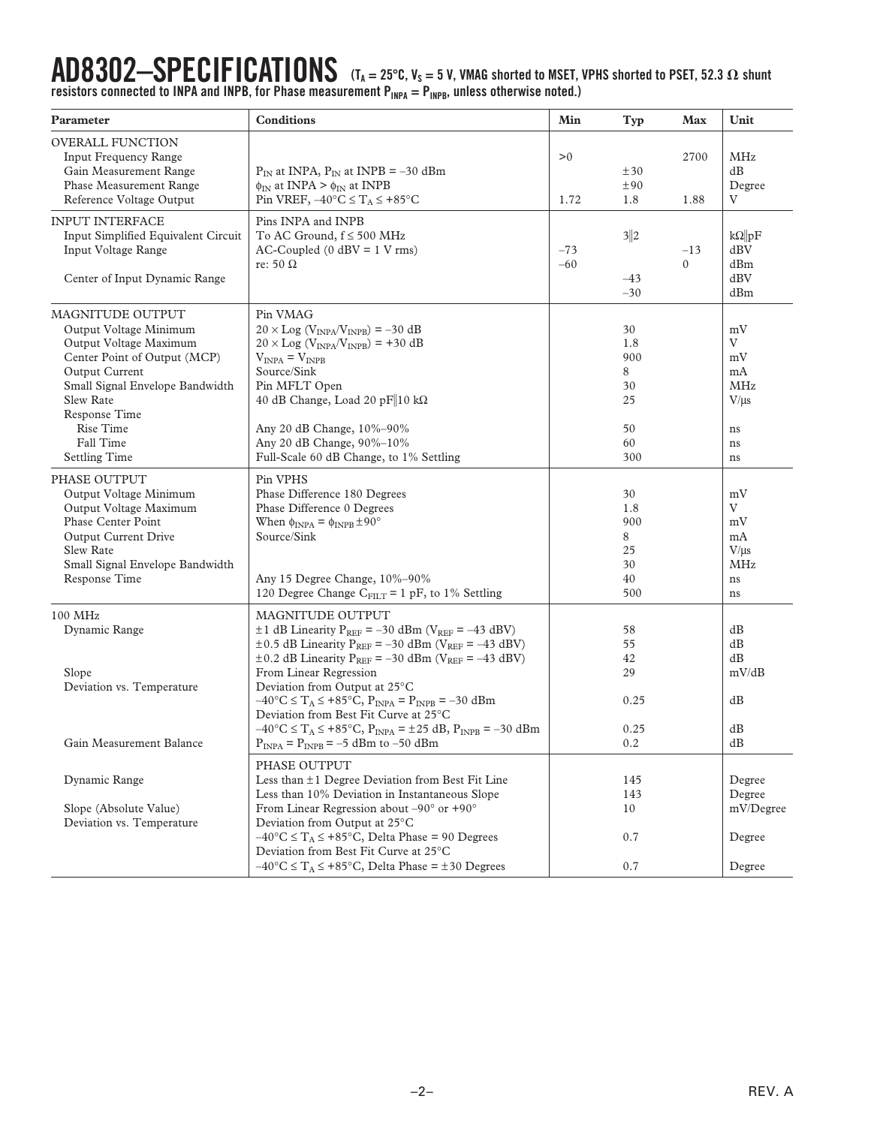$AD8302-SPECIFICATING  $\Gamma$  (T_A = 25°C, V<sub>S</sub> = 5 V, VMAG shorted to MSET, VPHS shorted to PSET, 52.3  $\Omega$  shunt$ resistors connected to INPA and INPB, for Phase measurement P<sub>INPA</sub> = P<sub>INPB</sub>, unless otherwise noted.)

| Parameter                                                                                                                                                                                                                                 | <b>Conditions</b>                                                                                                                                                                                                                                                                                                                                                                                                                                                                                                                                                                                                      | Min            | Typ                                                  | Max               | Unit                                                             |
|-------------------------------------------------------------------------------------------------------------------------------------------------------------------------------------------------------------------------------------------|------------------------------------------------------------------------------------------------------------------------------------------------------------------------------------------------------------------------------------------------------------------------------------------------------------------------------------------------------------------------------------------------------------------------------------------------------------------------------------------------------------------------------------------------------------------------------------------------------------------------|----------------|------------------------------------------------------|-------------------|------------------------------------------------------------------|
| <b>OVERALL FUNCTION</b><br><b>Input Frequency Range</b><br>Gain Measurement Range<br>Phase Measurement Range<br>Reference Voltage Output                                                                                                  | $P_{IN}$ at INPA, $P_{IN}$ at INPB = -30 dBm<br>$\phi_{IN}$ at INPA > $\phi_{IN}$ at INPB<br>Pin VREF, $-40^{\circ}$ C $\leq T_A \leq +85^{\circ}$ C                                                                                                                                                                                                                                                                                                                                                                                                                                                                   | >0<br>1.72     | ±30<br>±90<br>1.8                                    | 2700<br>1.88      | <b>MHz</b><br>dB<br>Degree<br>V                                  |
| <b>INPUT INTERFACE</b><br>Input Simplified Equivalent Circuit<br>Input Voltage Range<br>Center of Input Dynamic Range                                                                                                                     | Pins INPA and INPB<br>To AC Ground, $f \le 500$ MHz<br>$AC-Coupled (0 dBV = 1 V rms)$<br>re: 50 $\Omega$                                                                                                                                                                                                                                                                                                                                                                                                                                                                                                               | $-73$<br>$-60$ | 3 2<br>$-43$<br>$-30$                                | $-13$<br>$\Omega$ | $k\Omega$   pF<br>dBV<br>dBm<br>dBV<br>dBm                       |
| MAGNITUDE OUTPUT<br>Output Voltage Minimum<br>Output Voltage Maximum<br>Center Point of Output (MCP)<br>Output Current<br>Small Signal Envelope Bandwidth<br>Slew Rate<br>Response Time<br>Rise Time<br>Fall Time<br><b>Settling Time</b> | Pin VMAG<br>$20 \times$ Log (V <sub>INPA</sub> /V <sub>INPB</sub> ) = -30 dB<br>$20 \times$ Log (V <sub>INPA</sub> /V <sub>INPB</sub> ) = +30 dB<br>$V_{INPA} = V_{INPB}$<br>Source/Sink<br>Pin MFLT Open<br>40 dB Change, Load 20 pF 10 kΩ<br>Any 20 dB Change, 10%-90%<br>Any 20 dB Change, 90%-10%<br>Full-Scale 60 dB Change, to 1% Settling                                                                                                                                                                                                                                                                       |                | 30<br>1.8<br>900<br>8<br>30<br>25<br>50<br>60<br>300 |                   | mV<br>V<br>mV<br>mA<br><b>MHz</b><br>$V/\mu s$<br>ns<br>ns<br>ns |
| PHASE OUTPUT<br>Output Voltage Minimum<br>Output Voltage Maximum<br>Phase Center Point<br>Output Current Drive<br>Slew Rate<br>Small Signal Envelope Bandwidth<br>Response Time                                                           | Pin VPHS<br>Phase Difference 180 Degrees<br>Phase Difference 0 Degrees<br>When $\phi_{INPA} = \phi_{INPB} \pm 90^{\circ}$<br>Source/Sink<br>Any 15 Degree Change, 10%-90%<br>120 Degree Change $C_{FILT} = 1 pF$ , to 1% Settling                                                                                                                                                                                                                                                                                                                                                                                      |                | 30<br>1.8<br>900<br>8<br>25<br>30<br>40<br>500       |                   | mV<br>V<br>mV<br>mA<br>$V/\mu s$<br><b>MHz</b><br>ns<br>ns       |
| 100 MHz<br>Dynamic Range<br>Slope<br>Deviation vs. Temperature<br>Gain Measurement Balance                                                                                                                                                | MAGNITUDE OUTPUT<br>$\pm$ 1 dB Linearity P <sub>REF</sub> = -30 dBm (V <sub>REF</sub> = -43 dBV)<br>$\pm$ 0.5 dB Linearity P <sub>REF</sub> = -30 dBm (V <sub>REF</sub> = -43 dBV)<br>$\pm$ 0.2 dB Linearity P <sub>REF</sub> = -30 dBm (V <sub>REF</sub> = -43 dBV)<br>From Linear Regression<br>Deviation from Output at 25°C<br>$-40^{\circ}$ C $\leq$ T <sub>A</sub> $\leq$ +85°C, P <sub>INPA</sub> = P <sub>INPB</sub> = -30 dBm<br>Deviation from Best Fit Curve at 25°C<br>$-40\degree C \le T_A \le +85\degree C$ , $P_{INPA} = \pm 25$ dB, $P_{INPB} = -30$ dBm<br>$P_{INPA} = P_{INPB} = -5$ dBm to -50 dBm |                | 58<br>55<br>42<br>29<br>0.25<br>0.25<br>0.2          |                   | dB<br>dB<br>dB<br>mV/dB<br>dB<br>dB<br>dB                        |
| Dynamic Range<br>Slope (Absolute Value)<br>Deviation vs. Temperature                                                                                                                                                                      | PHASE OUTPUT<br>Less than $\pm 1$ Degree Deviation from Best Fit Line<br>Less than 10% Deviation in Instantaneous Slope<br>From Linear Regression about $-90^\circ$ or $+90^\circ$<br>Deviation from Output at 25°C<br>$-40^{\circ}$ C $\leq$ T <sub>A</sub> $\leq$ +85°C, Delta Phase = 90 Degrees<br>Deviation from Best Fit Curve at 25°C<br>$-40^{\circ}$ C $\leq$ T <sub>A</sub> $\leq$ +85°C, Delta Phase = ±30 Degrees                                                                                                                                                                                          |                | 145<br>143<br>10<br>0.7<br>0.7                       |                   | Degree<br>Degree<br>mV/Degree<br>Degree<br>Degree                |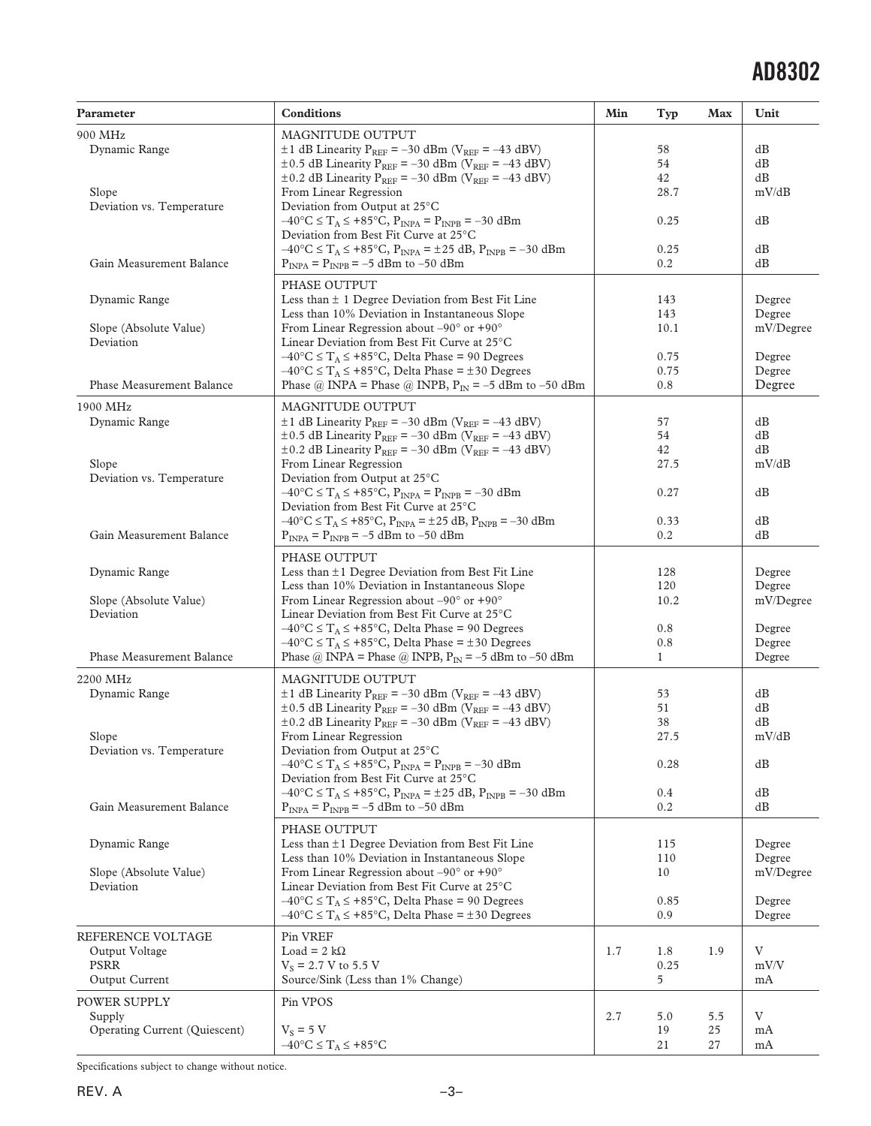| 900 MHz<br>MAGNITUDE OUTPUT<br>Dynamic Range<br>$\pm$ 1 dB Linearity P <sub>REF</sub> = -30 dBm (V <sub>REF</sub> = -43 dBV)<br>58<br>dВ<br>$\pm$ 0.5 dB Linearity P <sub>REF</sub> = -30 dBm (V <sub>REF</sub> = -43 dBV)<br>54<br>dВ<br>42<br>dВ<br>$\pm$ 0.2 dB Linearity P <sub>REF</sub> = -30 dBm (V <sub>REF</sub> = -43 dBV)<br>28.7<br>mV/dB<br>Slope<br>From Linear Regression<br>Deviation from Output at 25°C<br>Deviation vs. Temperature<br>$-40^{\circ}$ C $\leq$ T <sub>A</sub> $\leq$ +85°C, P <sub>INPA</sub> = P <sub>INPB</sub> = -30 dBm<br>dB<br>0.25<br>Deviation from Best Fit Curve at 25°C<br>$-40\degree C \le T_A \le +85\degree C$ , $P_{INPA} = \pm 25$ dB, $P_{INPB} = -30$ dBm<br>0.25<br>dВ<br>Gain Measurement Balance<br>$P_{INPA} = P_{INPB} = -5$ dBm to -50 dBm<br>dB<br>0.2<br>PHASE OUTPUT<br>Dynamic Range<br>Less than $\pm$ 1 Degree Deviation from Best Fit Line<br>Degree<br>143<br>Less than 10% Deviation in Instantaneous Slope<br>143<br>Degree<br>From Linear Regression about $-90^\circ$ or $+90^\circ$<br>Slope (Absolute Value)<br>10.1<br>mV/Degree<br>Deviation<br>Linear Deviation from Best Fit Curve at 25°C<br>$-40^{\circ}$ C $\leq$ T <sub>A</sub> $\leq$ +85°C, Delta Phase = 90 Degrees<br>0.75<br>Degree<br>$-40^{\circ}$ C $\leq$ T <sub>A</sub> $\leq$ +85°C, Delta Phase = ±30 Degrees<br>0.75<br>Degree<br>Phase Measurement Balance<br>Phase @ INPA = Phase @ INPB, $P_{IN} = -5$ dBm to -50 dBm<br>0.8<br>Degree<br>MAGNITUDE OUTPUT<br>1900 MHz<br>$\pm$ 1 dB Linearity P <sub>REF</sub> = -30 dBm (V <sub>REF</sub> = -43 dBV)<br>Dynamic Range<br>dВ<br>57<br>$\pm$ 0.5 dB Linearity P <sub>REF</sub> = -30 dBm (V <sub>REF</sub> = -43 dBV)<br>54<br>dB<br>$\pm$ 0.2 dB Linearity P <sub>REF</sub> = -30 dBm (V <sub>REF</sub> = -43 dBV)<br>42<br>dB<br>mV/dB<br>Slope<br>From Linear Regression<br>27.5<br>Deviation vs. Temperature<br>Deviation from Output at 25°C<br>$-40^{\circ}$ C $\leq$ T <sub>A</sub> $\leq$ +85°C, P <sub>INPA</sub> = P <sub>INPB</sub> = -30 dBm<br>0.27<br>dВ<br>Deviation from Best Fit Curve at 25 <sup>°</sup> C<br>$-40^{\circ}$ C $\leq$ T <sub>A</sub> $\leq$ +85°C, P <sub>INPA</sub> = ±25 dB, P <sub>INPB</sub> = -30 dBm<br>0.33<br>dВ<br>Gain Measurement Balance<br>0.2<br>dB<br>$P_{INPA} = P_{INPB} = -5$ dBm to -50 dBm<br>PHASE OUTPUT<br>Dynamic Range<br>Less than $\pm 1$ Degree Deviation from Best Fit Line<br>Degree<br>128<br>Less than 10% Deviation in Instantaneous Slope<br>120<br>Degree<br>From Linear Regression about $-90^{\circ}$ or $+90^{\circ}$<br>mV/Degree<br>Slope (Absolute Value)<br>10.2<br>Deviation<br>Linear Deviation from Best Fit Curve at 25°C<br>$-40^{\circ}$ C $\leq$ T <sub>A</sub> $\leq$ +85°C, Delta Phase = 90 Degrees<br>0.8<br>Degree<br>$-40^{\circ}$ C $\leq$ T <sub>A</sub> $\leq$ +85°C, Delta Phase = ±30 Degrees<br>0.8<br>Degree<br>Phase Measurement Balance<br>Phase @ INPA = Phase @ INPB, $P_{IN} = -5$ dBm to -50 dBm<br>1<br>Degree<br>MAGNITUDE OUTPUT<br>2200 MHz<br>$\pm$ 1 dB Linearity P <sub>REF</sub> = -30 dBm (V <sub>REF</sub> = -43 dBV)<br>Dynamic Range<br>53<br>dВ<br>dB<br>$\pm$ 0.5 dB Linearity P <sub>REF</sub> = -30 dBm (V <sub>REF</sub> = -43 dBV)<br>51<br>$\pm$ 0.2 dB Linearity P <sub>REF</sub> = -30 dBm (V <sub>REF</sub> = -43 dBV)<br>38<br>dB<br>27.5<br>mV/dB<br>Slope<br>From Linear Regression<br>Deviation vs. Temperature<br>Deviation from Output at 25°C<br>$-40^{\circ}$ C $\leq$ T <sub>A</sub> $\leq$ +85°C, P <sub>INPA</sub> = P <sub>INPB</sub> = -30 dBm<br>dB<br>0.28<br>Deviation from Best Fit Curve at 25°C<br>$-40\degree C \le T_A \le +85\degree C$ , $P_{INPA} = \pm 25$ dB, $P_{INPB} = -30$ dBm<br>0.4<br>dВ<br>Gain Measurement Balance<br>$P_{INPA} = P_{INPB} = -5$ dBm to $-50$ dBm<br>0.2<br>dB<br>PHASE OUTPUT<br>Less than ±1 Degree Deviation from Best Fit Line<br>Dynamic Range<br>Degree<br>115<br>Less than 10% Deviation in Instantaneous Slope<br>110<br>Degree<br>From Linear Regression about $-90^{\circ}$ or $+90^{\circ}$<br>Slope (Absolute Value)<br>10<br>mV/Degree<br>Deviation<br>Linear Deviation from Best Fit Curve at 25°C<br>$-40^{\circ}$ C $\leq$ T <sub>A</sub> $\leq$ +85°C, Delta Phase = 90 Degrees<br>0.85<br>Degree<br>$-40^{\circ}$ C $\leq$ T <sub>A</sub> $\leq$ +85°C, Delta Phase = ±30 Degrees<br>0.9<br>Degree | Parameter | <b>Conditions</b> | Min | Typ | Max | Unit |
|-----------------------------------------------------------------------------------------------------------------------------------------------------------------------------------------------------------------------------------------------------------------------------------------------------------------------------------------------------------------------------------------------------------------------------------------------------------------------------------------------------------------------------------------------------------------------------------------------------------------------------------------------------------------------------------------------------------------------------------------------------------------------------------------------------------------------------------------------------------------------------------------------------------------------------------------------------------------------------------------------------------------------------------------------------------------------------------------------------------------------------------------------------------------------------------------------------------------------------------------------------------------------------------------------------------------------------------------------------------------------------------------------------------------------------------------------------------------------------------------------------------------------------------------------------------------------------------------------------------------------------------------------------------------------------------------------------------------------------------------------------------------------------------------------------------------------------------------------------------------------------------------------------------------------------------------------------------------------------------------------------------------------------------------------------------------------------------------------------------------------------------------------------------------------------------------------------------------------------------------------------------------------------------------------------------------------------------------------------------------------------------------------------------------------------------------------------------------------------------------------------------------------------------------------------------------------------------------------------------------------------------------------------------------------------------------------------------------------------------------------------------------------------------------------------------------------------------------------------------------------------------------------------------------------------------------------------------------------------------------------------------------------------------------------------------------------------------------------------------------------------------------------------------------------------------------------------------------------------------------------------------------------------------------------------------------------------------------------------------------------------------------------------------------------------------------------------------------------------------------------------------------------------------------------------------------------------------------------------------------------------------------------------------------------------------------------------------------------------------------------------------------------------------------------------------------------------------------------------------------------------------------------------------------------------------------------------------------------------------------------------------------------------------------------------------------------------------------------------------------------------------------------------------------------------------------------------------------------------------------------------------------------------------------------------------------------------------------------------------------------------------------------------|-----------|-------------------|-----|-----|-----|------|
|                                                                                                                                                                                                                                                                                                                                                                                                                                                                                                                                                                                                                                                                                                                                                                                                                                                                                                                                                                                                                                                                                                                                                                                                                                                                                                                                                                                                                                                                                                                                                                                                                                                                                                                                                                                                                                                                                                                                                                                                                                                                                                                                                                                                                                                                                                                                                                                                                                                                                                                                                                                                                                                                                                                                                                                                                                                                                                                                                                                                                                                                                                                                                                                                                                                                                                                                                                                                                                                                                                                                                                                                                                                                                                                                                                                                                                                                                                                                                                                                                                                                                                                                                                                                                                                                                                                                                                                                     |           |                   |     |     |     |      |
|                                                                                                                                                                                                                                                                                                                                                                                                                                                                                                                                                                                                                                                                                                                                                                                                                                                                                                                                                                                                                                                                                                                                                                                                                                                                                                                                                                                                                                                                                                                                                                                                                                                                                                                                                                                                                                                                                                                                                                                                                                                                                                                                                                                                                                                                                                                                                                                                                                                                                                                                                                                                                                                                                                                                                                                                                                                                                                                                                                                                                                                                                                                                                                                                                                                                                                                                                                                                                                                                                                                                                                                                                                                                                                                                                                                                                                                                                                                                                                                                                                                                                                                                                                                                                                                                                                                                                                                                     |           |                   |     |     |     |      |
|                                                                                                                                                                                                                                                                                                                                                                                                                                                                                                                                                                                                                                                                                                                                                                                                                                                                                                                                                                                                                                                                                                                                                                                                                                                                                                                                                                                                                                                                                                                                                                                                                                                                                                                                                                                                                                                                                                                                                                                                                                                                                                                                                                                                                                                                                                                                                                                                                                                                                                                                                                                                                                                                                                                                                                                                                                                                                                                                                                                                                                                                                                                                                                                                                                                                                                                                                                                                                                                                                                                                                                                                                                                                                                                                                                                                                                                                                                                                                                                                                                                                                                                                                                                                                                                                                                                                                                                                     |           |                   |     |     |     |      |
|                                                                                                                                                                                                                                                                                                                                                                                                                                                                                                                                                                                                                                                                                                                                                                                                                                                                                                                                                                                                                                                                                                                                                                                                                                                                                                                                                                                                                                                                                                                                                                                                                                                                                                                                                                                                                                                                                                                                                                                                                                                                                                                                                                                                                                                                                                                                                                                                                                                                                                                                                                                                                                                                                                                                                                                                                                                                                                                                                                                                                                                                                                                                                                                                                                                                                                                                                                                                                                                                                                                                                                                                                                                                                                                                                                                                                                                                                                                                                                                                                                                                                                                                                                                                                                                                                                                                                                                                     |           |                   |     |     |     |      |
|                                                                                                                                                                                                                                                                                                                                                                                                                                                                                                                                                                                                                                                                                                                                                                                                                                                                                                                                                                                                                                                                                                                                                                                                                                                                                                                                                                                                                                                                                                                                                                                                                                                                                                                                                                                                                                                                                                                                                                                                                                                                                                                                                                                                                                                                                                                                                                                                                                                                                                                                                                                                                                                                                                                                                                                                                                                                                                                                                                                                                                                                                                                                                                                                                                                                                                                                                                                                                                                                                                                                                                                                                                                                                                                                                                                                                                                                                                                                                                                                                                                                                                                                                                                                                                                                                                                                                                                                     |           |                   |     |     |     |      |
|                                                                                                                                                                                                                                                                                                                                                                                                                                                                                                                                                                                                                                                                                                                                                                                                                                                                                                                                                                                                                                                                                                                                                                                                                                                                                                                                                                                                                                                                                                                                                                                                                                                                                                                                                                                                                                                                                                                                                                                                                                                                                                                                                                                                                                                                                                                                                                                                                                                                                                                                                                                                                                                                                                                                                                                                                                                                                                                                                                                                                                                                                                                                                                                                                                                                                                                                                                                                                                                                                                                                                                                                                                                                                                                                                                                                                                                                                                                                                                                                                                                                                                                                                                                                                                                                                                                                                                                                     |           |                   |     |     |     |      |
|                                                                                                                                                                                                                                                                                                                                                                                                                                                                                                                                                                                                                                                                                                                                                                                                                                                                                                                                                                                                                                                                                                                                                                                                                                                                                                                                                                                                                                                                                                                                                                                                                                                                                                                                                                                                                                                                                                                                                                                                                                                                                                                                                                                                                                                                                                                                                                                                                                                                                                                                                                                                                                                                                                                                                                                                                                                                                                                                                                                                                                                                                                                                                                                                                                                                                                                                                                                                                                                                                                                                                                                                                                                                                                                                                                                                                                                                                                                                                                                                                                                                                                                                                                                                                                                                                                                                                                                                     |           |                   |     |     |     |      |
|                                                                                                                                                                                                                                                                                                                                                                                                                                                                                                                                                                                                                                                                                                                                                                                                                                                                                                                                                                                                                                                                                                                                                                                                                                                                                                                                                                                                                                                                                                                                                                                                                                                                                                                                                                                                                                                                                                                                                                                                                                                                                                                                                                                                                                                                                                                                                                                                                                                                                                                                                                                                                                                                                                                                                                                                                                                                                                                                                                                                                                                                                                                                                                                                                                                                                                                                                                                                                                                                                                                                                                                                                                                                                                                                                                                                                                                                                                                                                                                                                                                                                                                                                                                                                                                                                                                                                                                                     |           |                   |     |     |     |      |
|                                                                                                                                                                                                                                                                                                                                                                                                                                                                                                                                                                                                                                                                                                                                                                                                                                                                                                                                                                                                                                                                                                                                                                                                                                                                                                                                                                                                                                                                                                                                                                                                                                                                                                                                                                                                                                                                                                                                                                                                                                                                                                                                                                                                                                                                                                                                                                                                                                                                                                                                                                                                                                                                                                                                                                                                                                                                                                                                                                                                                                                                                                                                                                                                                                                                                                                                                                                                                                                                                                                                                                                                                                                                                                                                                                                                                                                                                                                                                                                                                                                                                                                                                                                                                                                                                                                                                                                                     |           |                   |     |     |     |      |
|                                                                                                                                                                                                                                                                                                                                                                                                                                                                                                                                                                                                                                                                                                                                                                                                                                                                                                                                                                                                                                                                                                                                                                                                                                                                                                                                                                                                                                                                                                                                                                                                                                                                                                                                                                                                                                                                                                                                                                                                                                                                                                                                                                                                                                                                                                                                                                                                                                                                                                                                                                                                                                                                                                                                                                                                                                                                                                                                                                                                                                                                                                                                                                                                                                                                                                                                                                                                                                                                                                                                                                                                                                                                                                                                                                                                                                                                                                                                                                                                                                                                                                                                                                                                                                                                                                                                                                                                     |           |                   |     |     |     |      |
|                                                                                                                                                                                                                                                                                                                                                                                                                                                                                                                                                                                                                                                                                                                                                                                                                                                                                                                                                                                                                                                                                                                                                                                                                                                                                                                                                                                                                                                                                                                                                                                                                                                                                                                                                                                                                                                                                                                                                                                                                                                                                                                                                                                                                                                                                                                                                                                                                                                                                                                                                                                                                                                                                                                                                                                                                                                                                                                                                                                                                                                                                                                                                                                                                                                                                                                                                                                                                                                                                                                                                                                                                                                                                                                                                                                                                                                                                                                                                                                                                                                                                                                                                                                                                                                                                                                                                                                                     |           |                   |     |     |     |      |
|                                                                                                                                                                                                                                                                                                                                                                                                                                                                                                                                                                                                                                                                                                                                                                                                                                                                                                                                                                                                                                                                                                                                                                                                                                                                                                                                                                                                                                                                                                                                                                                                                                                                                                                                                                                                                                                                                                                                                                                                                                                                                                                                                                                                                                                                                                                                                                                                                                                                                                                                                                                                                                                                                                                                                                                                                                                                                                                                                                                                                                                                                                                                                                                                                                                                                                                                                                                                                                                                                                                                                                                                                                                                                                                                                                                                                                                                                                                                                                                                                                                                                                                                                                                                                                                                                                                                                                                                     |           |                   |     |     |     |      |
|                                                                                                                                                                                                                                                                                                                                                                                                                                                                                                                                                                                                                                                                                                                                                                                                                                                                                                                                                                                                                                                                                                                                                                                                                                                                                                                                                                                                                                                                                                                                                                                                                                                                                                                                                                                                                                                                                                                                                                                                                                                                                                                                                                                                                                                                                                                                                                                                                                                                                                                                                                                                                                                                                                                                                                                                                                                                                                                                                                                                                                                                                                                                                                                                                                                                                                                                                                                                                                                                                                                                                                                                                                                                                                                                                                                                                                                                                                                                                                                                                                                                                                                                                                                                                                                                                                                                                                                                     |           |                   |     |     |     |      |
|                                                                                                                                                                                                                                                                                                                                                                                                                                                                                                                                                                                                                                                                                                                                                                                                                                                                                                                                                                                                                                                                                                                                                                                                                                                                                                                                                                                                                                                                                                                                                                                                                                                                                                                                                                                                                                                                                                                                                                                                                                                                                                                                                                                                                                                                                                                                                                                                                                                                                                                                                                                                                                                                                                                                                                                                                                                                                                                                                                                                                                                                                                                                                                                                                                                                                                                                                                                                                                                                                                                                                                                                                                                                                                                                                                                                                                                                                                                                                                                                                                                                                                                                                                                                                                                                                                                                                                                                     |           |                   |     |     |     |      |
|                                                                                                                                                                                                                                                                                                                                                                                                                                                                                                                                                                                                                                                                                                                                                                                                                                                                                                                                                                                                                                                                                                                                                                                                                                                                                                                                                                                                                                                                                                                                                                                                                                                                                                                                                                                                                                                                                                                                                                                                                                                                                                                                                                                                                                                                                                                                                                                                                                                                                                                                                                                                                                                                                                                                                                                                                                                                                                                                                                                                                                                                                                                                                                                                                                                                                                                                                                                                                                                                                                                                                                                                                                                                                                                                                                                                                                                                                                                                                                                                                                                                                                                                                                                                                                                                                                                                                                                                     |           |                   |     |     |     |      |
|                                                                                                                                                                                                                                                                                                                                                                                                                                                                                                                                                                                                                                                                                                                                                                                                                                                                                                                                                                                                                                                                                                                                                                                                                                                                                                                                                                                                                                                                                                                                                                                                                                                                                                                                                                                                                                                                                                                                                                                                                                                                                                                                                                                                                                                                                                                                                                                                                                                                                                                                                                                                                                                                                                                                                                                                                                                                                                                                                                                                                                                                                                                                                                                                                                                                                                                                                                                                                                                                                                                                                                                                                                                                                                                                                                                                                                                                                                                                                                                                                                                                                                                                                                                                                                                                                                                                                                                                     |           |                   |     |     |     |      |
|                                                                                                                                                                                                                                                                                                                                                                                                                                                                                                                                                                                                                                                                                                                                                                                                                                                                                                                                                                                                                                                                                                                                                                                                                                                                                                                                                                                                                                                                                                                                                                                                                                                                                                                                                                                                                                                                                                                                                                                                                                                                                                                                                                                                                                                                                                                                                                                                                                                                                                                                                                                                                                                                                                                                                                                                                                                                                                                                                                                                                                                                                                                                                                                                                                                                                                                                                                                                                                                                                                                                                                                                                                                                                                                                                                                                                                                                                                                                                                                                                                                                                                                                                                                                                                                                                                                                                                                                     |           |                   |     |     |     |      |
|                                                                                                                                                                                                                                                                                                                                                                                                                                                                                                                                                                                                                                                                                                                                                                                                                                                                                                                                                                                                                                                                                                                                                                                                                                                                                                                                                                                                                                                                                                                                                                                                                                                                                                                                                                                                                                                                                                                                                                                                                                                                                                                                                                                                                                                                                                                                                                                                                                                                                                                                                                                                                                                                                                                                                                                                                                                                                                                                                                                                                                                                                                                                                                                                                                                                                                                                                                                                                                                                                                                                                                                                                                                                                                                                                                                                                                                                                                                                                                                                                                                                                                                                                                                                                                                                                                                                                                                                     |           |                   |     |     |     |      |
|                                                                                                                                                                                                                                                                                                                                                                                                                                                                                                                                                                                                                                                                                                                                                                                                                                                                                                                                                                                                                                                                                                                                                                                                                                                                                                                                                                                                                                                                                                                                                                                                                                                                                                                                                                                                                                                                                                                                                                                                                                                                                                                                                                                                                                                                                                                                                                                                                                                                                                                                                                                                                                                                                                                                                                                                                                                                                                                                                                                                                                                                                                                                                                                                                                                                                                                                                                                                                                                                                                                                                                                                                                                                                                                                                                                                                                                                                                                                                                                                                                                                                                                                                                                                                                                                                                                                                                                                     |           |                   |     |     |     |      |
|                                                                                                                                                                                                                                                                                                                                                                                                                                                                                                                                                                                                                                                                                                                                                                                                                                                                                                                                                                                                                                                                                                                                                                                                                                                                                                                                                                                                                                                                                                                                                                                                                                                                                                                                                                                                                                                                                                                                                                                                                                                                                                                                                                                                                                                                                                                                                                                                                                                                                                                                                                                                                                                                                                                                                                                                                                                                                                                                                                                                                                                                                                                                                                                                                                                                                                                                                                                                                                                                                                                                                                                                                                                                                                                                                                                                                                                                                                                                                                                                                                                                                                                                                                                                                                                                                                                                                                                                     |           |                   |     |     |     |      |
|                                                                                                                                                                                                                                                                                                                                                                                                                                                                                                                                                                                                                                                                                                                                                                                                                                                                                                                                                                                                                                                                                                                                                                                                                                                                                                                                                                                                                                                                                                                                                                                                                                                                                                                                                                                                                                                                                                                                                                                                                                                                                                                                                                                                                                                                                                                                                                                                                                                                                                                                                                                                                                                                                                                                                                                                                                                                                                                                                                                                                                                                                                                                                                                                                                                                                                                                                                                                                                                                                                                                                                                                                                                                                                                                                                                                                                                                                                                                                                                                                                                                                                                                                                                                                                                                                                                                                                                                     |           |                   |     |     |     |      |
|                                                                                                                                                                                                                                                                                                                                                                                                                                                                                                                                                                                                                                                                                                                                                                                                                                                                                                                                                                                                                                                                                                                                                                                                                                                                                                                                                                                                                                                                                                                                                                                                                                                                                                                                                                                                                                                                                                                                                                                                                                                                                                                                                                                                                                                                                                                                                                                                                                                                                                                                                                                                                                                                                                                                                                                                                                                                                                                                                                                                                                                                                                                                                                                                                                                                                                                                                                                                                                                                                                                                                                                                                                                                                                                                                                                                                                                                                                                                                                                                                                                                                                                                                                                                                                                                                                                                                                                                     |           |                   |     |     |     |      |
|                                                                                                                                                                                                                                                                                                                                                                                                                                                                                                                                                                                                                                                                                                                                                                                                                                                                                                                                                                                                                                                                                                                                                                                                                                                                                                                                                                                                                                                                                                                                                                                                                                                                                                                                                                                                                                                                                                                                                                                                                                                                                                                                                                                                                                                                                                                                                                                                                                                                                                                                                                                                                                                                                                                                                                                                                                                                                                                                                                                                                                                                                                                                                                                                                                                                                                                                                                                                                                                                                                                                                                                                                                                                                                                                                                                                                                                                                                                                                                                                                                                                                                                                                                                                                                                                                                                                                                                                     |           |                   |     |     |     |      |
|                                                                                                                                                                                                                                                                                                                                                                                                                                                                                                                                                                                                                                                                                                                                                                                                                                                                                                                                                                                                                                                                                                                                                                                                                                                                                                                                                                                                                                                                                                                                                                                                                                                                                                                                                                                                                                                                                                                                                                                                                                                                                                                                                                                                                                                                                                                                                                                                                                                                                                                                                                                                                                                                                                                                                                                                                                                                                                                                                                                                                                                                                                                                                                                                                                                                                                                                                                                                                                                                                                                                                                                                                                                                                                                                                                                                                                                                                                                                                                                                                                                                                                                                                                                                                                                                                                                                                                                                     |           |                   |     |     |     |      |
|                                                                                                                                                                                                                                                                                                                                                                                                                                                                                                                                                                                                                                                                                                                                                                                                                                                                                                                                                                                                                                                                                                                                                                                                                                                                                                                                                                                                                                                                                                                                                                                                                                                                                                                                                                                                                                                                                                                                                                                                                                                                                                                                                                                                                                                                                                                                                                                                                                                                                                                                                                                                                                                                                                                                                                                                                                                                                                                                                                                                                                                                                                                                                                                                                                                                                                                                                                                                                                                                                                                                                                                                                                                                                                                                                                                                                                                                                                                                                                                                                                                                                                                                                                                                                                                                                                                                                                                                     |           |                   |     |     |     |      |
|                                                                                                                                                                                                                                                                                                                                                                                                                                                                                                                                                                                                                                                                                                                                                                                                                                                                                                                                                                                                                                                                                                                                                                                                                                                                                                                                                                                                                                                                                                                                                                                                                                                                                                                                                                                                                                                                                                                                                                                                                                                                                                                                                                                                                                                                                                                                                                                                                                                                                                                                                                                                                                                                                                                                                                                                                                                                                                                                                                                                                                                                                                                                                                                                                                                                                                                                                                                                                                                                                                                                                                                                                                                                                                                                                                                                                                                                                                                                                                                                                                                                                                                                                                                                                                                                                                                                                                                                     |           |                   |     |     |     |      |
|                                                                                                                                                                                                                                                                                                                                                                                                                                                                                                                                                                                                                                                                                                                                                                                                                                                                                                                                                                                                                                                                                                                                                                                                                                                                                                                                                                                                                                                                                                                                                                                                                                                                                                                                                                                                                                                                                                                                                                                                                                                                                                                                                                                                                                                                                                                                                                                                                                                                                                                                                                                                                                                                                                                                                                                                                                                                                                                                                                                                                                                                                                                                                                                                                                                                                                                                                                                                                                                                                                                                                                                                                                                                                                                                                                                                                                                                                                                                                                                                                                                                                                                                                                                                                                                                                                                                                                                                     |           |                   |     |     |     |      |
|                                                                                                                                                                                                                                                                                                                                                                                                                                                                                                                                                                                                                                                                                                                                                                                                                                                                                                                                                                                                                                                                                                                                                                                                                                                                                                                                                                                                                                                                                                                                                                                                                                                                                                                                                                                                                                                                                                                                                                                                                                                                                                                                                                                                                                                                                                                                                                                                                                                                                                                                                                                                                                                                                                                                                                                                                                                                                                                                                                                                                                                                                                                                                                                                                                                                                                                                                                                                                                                                                                                                                                                                                                                                                                                                                                                                                                                                                                                                                                                                                                                                                                                                                                                                                                                                                                                                                                                                     |           |                   |     |     |     |      |
|                                                                                                                                                                                                                                                                                                                                                                                                                                                                                                                                                                                                                                                                                                                                                                                                                                                                                                                                                                                                                                                                                                                                                                                                                                                                                                                                                                                                                                                                                                                                                                                                                                                                                                                                                                                                                                                                                                                                                                                                                                                                                                                                                                                                                                                                                                                                                                                                                                                                                                                                                                                                                                                                                                                                                                                                                                                                                                                                                                                                                                                                                                                                                                                                                                                                                                                                                                                                                                                                                                                                                                                                                                                                                                                                                                                                                                                                                                                                                                                                                                                                                                                                                                                                                                                                                                                                                                                                     |           |                   |     |     |     |      |
|                                                                                                                                                                                                                                                                                                                                                                                                                                                                                                                                                                                                                                                                                                                                                                                                                                                                                                                                                                                                                                                                                                                                                                                                                                                                                                                                                                                                                                                                                                                                                                                                                                                                                                                                                                                                                                                                                                                                                                                                                                                                                                                                                                                                                                                                                                                                                                                                                                                                                                                                                                                                                                                                                                                                                                                                                                                                                                                                                                                                                                                                                                                                                                                                                                                                                                                                                                                                                                                                                                                                                                                                                                                                                                                                                                                                                                                                                                                                                                                                                                                                                                                                                                                                                                                                                                                                                                                                     |           |                   |     |     |     |      |
|                                                                                                                                                                                                                                                                                                                                                                                                                                                                                                                                                                                                                                                                                                                                                                                                                                                                                                                                                                                                                                                                                                                                                                                                                                                                                                                                                                                                                                                                                                                                                                                                                                                                                                                                                                                                                                                                                                                                                                                                                                                                                                                                                                                                                                                                                                                                                                                                                                                                                                                                                                                                                                                                                                                                                                                                                                                                                                                                                                                                                                                                                                                                                                                                                                                                                                                                                                                                                                                                                                                                                                                                                                                                                                                                                                                                                                                                                                                                                                                                                                                                                                                                                                                                                                                                                                                                                                                                     |           |                   |     |     |     |      |
|                                                                                                                                                                                                                                                                                                                                                                                                                                                                                                                                                                                                                                                                                                                                                                                                                                                                                                                                                                                                                                                                                                                                                                                                                                                                                                                                                                                                                                                                                                                                                                                                                                                                                                                                                                                                                                                                                                                                                                                                                                                                                                                                                                                                                                                                                                                                                                                                                                                                                                                                                                                                                                                                                                                                                                                                                                                                                                                                                                                                                                                                                                                                                                                                                                                                                                                                                                                                                                                                                                                                                                                                                                                                                                                                                                                                                                                                                                                                                                                                                                                                                                                                                                                                                                                                                                                                                                                                     |           |                   |     |     |     |      |
|                                                                                                                                                                                                                                                                                                                                                                                                                                                                                                                                                                                                                                                                                                                                                                                                                                                                                                                                                                                                                                                                                                                                                                                                                                                                                                                                                                                                                                                                                                                                                                                                                                                                                                                                                                                                                                                                                                                                                                                                                                                                                                                                                                                                                                                                                                                                                                                                                                                                                                                                                                                                                                                                                                                                                                                                                                                                                                                                                                                                                                                                                                                                                                                                                                                                                                                                                                                                                                                                                                                                                                                                                                                                                                                                                                                                                                                                                                                                                                                                                                                                                                                                                                                                                                                                                                                                                                                                     |           |                   |     |     |     |      |
|                                                                                                                                                                                                                                                                                                                                                                                                                                                                                                                                                                                                                                                                                                                                                                                                                                                                                                                                                                                                                                                                                                                                                                                                                                                                                                                                                                                                                                                                                                                                                                                                                                                                                                                                                                                                                                                                                                                                                                                                                                                                                                                                                                                                                                                                                                                                                                                                                                                                                                                                                                                                                                                                                                                                                                                                                                                                                                                                                                                                                                                                                                                                                                                                                                                                                                                                                                                                                                                                                                                                                                                                                                                                                                                                                                                                                                                                                                                                                                                                                                                                                                                                                                                                                                                                                                                                                                                                     |           |                   |     |     |     |      |
|                                                                                                                                                                                                                                                                                                                                                                                                                                                                                                                                                                                                                                                                                                                                                                                                                                                                                                                                                                                                                                                                                                                                                                                                                                                                                                                                                                                                                                                                                                                                                                                                                                                                                                                                                                                                                                                                                                                                                                                                                                                                                                                                                                                                                                                                                                                                                                                                                                                                                                                                                                                                                                                                                                                                                                                                                                                                                                                                                                                                                                                                                                                                                                                                                                                                                                                                                                                                                                                                                                                                                                                                                                                                                                                                                                                                                                                                                                                                                                                                                                                                                                                                                                                                                                                                                                                                                                                                     |           |                   |     |     |     |      |
|                                                                                                                                                                                                                                                                                                                                                                                                                                                                                                                                                                                                                                                                                                                                                                                                                                                                                                                                                                                                                                                                                                                                                                                                                                                                                                                                                                                                                                                                                                                                                                                                                                                                                                                                                                                                                                                                                                                                                                                                                                                                                                                                                                                                                                                                                                                                                                                                                                                                                                                                                                                                                                                                                                                                                                                                                                                                                                                                                                                                                                                                                                                                                                                                                                                                                                                                                                                                                                                                                                                                                                                                                                                                                                                                                                                                                                                                                                                                                                                                                                                                                                                                                                                                                                                                                                                                                                                                     |           |                   |     |     |     |      |
|                                                                                                                                                                                                                                                                                                                                                                                                                                                                                                                                                                                                                                                                                                                                                                                                                                                                                                                                                                                                                                                                                                                                                                                                                                                                                                                                                                                                                                                                                                                                                                                                                                                                                                                                                                                                                                                                                                                                                                                                                                                                                                                                                                                                                                                                                                                                                                                                                                                                                                                                                                                                                                                                                                                                                                                                                                                                                                                                                                                                                                                                                                                                                                                                                                                                                                                                                                                                                                                                                                                                                                                                                                                                                                                                                                                                                                                                                                                                                                                                                                                                                                                                                                                                                                                                                                                                                                                                     |           |                   |     |     |     |      |
|                                                                                                                                                                                                                                                                                                                                                                                                                                                                                                                                                                                                                                                                                                                                                                                                                                                                                                                                                                                                                                                                                                                                                                                                                                                                                                                                                                                                                                                                                                                                                                                                                                                                                                                                                                                                                                                                                                                                                                                                                                                                                                                                                                                                                                                                                                                                                                                                                                                                                                                                                                                                                                                                                                                                                                                                                                                                                                                                                                                                                                                                                                                                                                                                                                                                                                                                                                                                                                                                                                                                                                                                                                                                                                                                                                                                                                                                                                                                                                                                                                                                                                                                                                                                                                                                                                                                                                                                     |           |                   |     |     |     |      |
|                                                                                                                                                                                                                                                                                                                                                                                                                                                                                                                                                                                                                                                                                                                                                                                                                                                                                                                                                                                                                                                                                                                                                                                                                                                                                                                                                                                                                                                                                                                                                                                                                                                                                                                                                                                                                                                                                                                                                                                                                                                                                                                                                                                                                                                                                                                                                                                                                                                                                                                                                                                                                                                                                                                                                                                                                                                                                                                                                                                                                                                                                                                                                                                                                                                                                                                                                                                                                                                                                                                                                                                                                                                                                                                                                                                                                                                                                                                                                                                                                                                                                                                                                                                                                                                                                                                                                                                                     |           |                   |     |     |     |      |
|                                                                                                                                                                                                                                                                                                                                                                                                                                                                                                                                                                                                                                                                                                                                                                                                                                                                                                                                                                                                                                                                                                                                                                                                                                                                                                                                                                                                                                                                                                                                                                                                                                                                                                                                                                                                                                                                                                                                                                                                                                                                                                                                                                                                                                                                                                                                                                                                                                                                                                                                                                                                                                                                                                                                                                                                                                                                                                                                                                                                                                                                                                                                                                                                                                                                                                                                                                                                                                                                                                                                                                                                                                                                                                                                                                                                                                                                                                                                                                                                                                                                                                                                                                                                                                                                                                                                                                                                     |           |                   |     |     |     |      |
|                                                                                                                                                                                                                                                                                                                                                                                                                                                                                                                                                                                                                                                                                                                                                                                                                                                                                                                                                                                                                                                                                                                                                                                                                                                                                                                                                                                                                                                                                                                                                                                                                                                                                                                                                                                                                                                                                                                                                                                                                                                                                                                                                                                                                                                                                                                                                                                                                                                                                                                                                                                                                                                                                                                                                                                                                                                                                                                                                                                                                                                                                                                                                                                                                                                                                                                                                                                                                                                                                                                                                                                                                                                                                                                                                                                                                                                                                                                                                                                                                                                                                                                                                                                                                                                                                                                                                                                                     |           |                   |     |     |     |      |
|                                                                                                                                                                                                                                                                                                                                                                                                                                                                                                                                                                                                                                                                                                                                                                                                                                                                                                                                                                                                                                                                                                                                                                                                                                                                                                                                                                                                                                                                                                                                                                                                                                                                                                                                                                                                                                                                                                                                                                                                                                                                                                                                                                                                                                                                                                                                                                                                                                                                                                                                                                                                                                                                                                                                                                                                                                                                                                                                                                                                                                                                                                                                                                                                                                                                                                                                                                                                                                                                                                                                                                                                                                                                                                                                                                                                                                                                                                                                                                                                                                                                                                                                                                                                                                                                                                                                                                                                     |           |                   |     |     |     |      |
|                                                                                                                                                                                                                                                                                                                                                                                                                                                                                                                                                                                                                                                                                                                                                                                                                                                                                                                                                                                                                                                                                                                                                                                                                                                                                                                                                                                                                                                                                                                                                                                                                                                                                                                                                                                                                                                                                                                                                                                                                                                                                                                                                                                                                                                                                                                                                                                                                                                                                                                                                                                                                                                                                                                                                                                                                                                                                                                                                                                                                                                                                                                                                                                                                                                                                                                                                                                                                                                                                                                                                                                                                                                                                                                                                                                                                                                                                                                                                                                                                                                                                                                                                                                                                                                                                                                                                                                                     |           |                   |     |     |     |      |
|                                                                                                                                                                                                                                                                                                                                                                                                                                                                                                                                                                                                                                                                                                                                                                                                                                                                                                                                                                                                                                                                                                                                                                                                                                                                                                                                                                                                                                                                                                                                                                                                                                                                                                                                                                                                                                                                                                                                                                                                                                                                                                                                                                                                                                                                                                                                                                                                                                                                                                                                                                                                                                                                                                                                                                                                                                                                                                                                                                                                                                                                                                                                                                                                                                                                                                                                                                                                                                                                                                                                                                                                                                                                                                                                                                                                                                                                                                                                                                                                                                                                                                                                                                                                                                                                                                                                                                                                     |           |                   |     |     |     |      |
|                                                                                                                                                                                                                                                                                                                                                                                                                                                                                                                                                                                                                                                                                                                                                                                                                                                                                                                                                                                                                                                                                                                                                                                                                                                                                                                                                                                                                                                                                                                                                                                                                                                                                                                                                                                                                                                                                                                                                                                                                                                                                                                                                                                                                                                                                                                                                                                                                                                                                                                                                                                                                                                                                                                                                                                                                                                                                                                                                                                                                                                                                                                                                                                                                                                                                                                                                                                                                                                                                                                                                                                                                                                                                                                                                                                                                                                                                                                                                                                                                                                                                                                                                                                                                                                                                                                                                                                                     |           |                   |     |     |     |      |
|                                                                                                                                                                                                                                                                                                                                                                                                                                                                                                                                                                                                                                                                                                                                                                                                                                                                                                                                                                                                                                                                                                                                                                                                                                                                                                                                                                                                                                                                                                                                                                                                                                                                                                                                                                                                                                                                                                                                                                                                                                                                                                                                                                                                                                                                                                                                                                                                                                                                                                                                                                                                                                                                                                                                                                                                                                                                                                                                                                                                                                                                                                                                                                                                                                                                                                                                                                                                                                                                                                                                                                                                                                                                                                                                                                                                                                                                                                                                                                                                                                                                                                                                                                                                                                                                                                                                                                                                     |           |                   |     |     |     |      |
|                                                                                                                                                                                                                                                                                                                                                                                                                                                                                                                                                                                                                                                                                                                                                                                                                                                                                                                                                                                                                                                                                                                                                                                                                                                                                                                                                                                                                                                                                                                                                                                                                                                                                                                                                                                                                                                                                                                                                                                                                                                                                                                                                                                                                                                                                                                                                                                                                                                                                                                                                                                                                                                                                                                                                                                                                                                                                                                                                                                                                                                                                                                                                                                                                                                                                                                                                                                                                                                                                                                                                                                                                                                                                                                                                                                                                                                                                                                                                                                                                                                                                                                                                                                                                                                                                                                                                                                                     |           |                   |     |     |     |      |
|                                                                                                                                                                                                                                                                                                                                                                                                                                                                                                                                                                                                                                                                                                                                                                                                                                                                                                                                                                                                                                                                                                                                                                                                                                                                                                                                                                                                                                                                                                                                                                                                                                                                                                                                                                                                                                                                                                                                                                                                                                                                                                                                                                                                                                                                                                                                                                                                                                                                                                                                                                                                                                                                                                                                                                                                                                                                                                                                                                                                                                                                                                                                                                                                                                                                                                                                                                                                                                                                                                                                                                                                                                                                                                                                                                                                                                                                                                                                                                                                                                                                                                                                                                                                                                                                                                                                                                                                     |           |                   |     |     |     |      |
|                                                                                                                                                                                                                                                                                                                                                                                                                                                                                                                                                                                                                                                                                                                                                                                                                                                                                                                                                                                                                                                                                                                                                                                                                                                                                                                                                                                                                                                                                                                                                                                                                                                                                                                                                                                                                                                                                                                                                                                                                                                                                                                                                                                                                                                                                                                                                                                                                                                                                                                                                                                                                                                                                                                                                                                                                                                                                                                                                                                                                                                                                                                                                                                                                                                                                                                                                                                                                                                                                                                                                                                                                                                                                                                                                                                                                                                                                                                                                                                                                                                                                                                                                                                                                                                                                                                                                                                                     |           |                   |     |     |     |      |
|                                                                                                                                                                                                                                                                                                                                                                                                                                                                                                                                                                                                                                                                                                                                                                                                                                                                                                                                                                                                                                                                                                                                                                                                                                                                                                                                                                                                                                                                                                                                                                                                                                                                                                                                                                                                                                                                                                                                                                                                                                                                                                                                                                                                                                                                                                                                                                                                                                                                                                                                                                                                                                                                                                                                                                                                                                                                                                                                                                                                                                                                                                                                                                                                                                                                                                                                                                                                                                                                                                                                                                                                                                                                                                                                                                                                                                                                                                                                                                                                                                                                                                                                                                                                                                                                                                                                                                                                     |           |                   |     |     |     |      |
|                                                                                                                                                                                                                                                                                                                                                                                                                                                                                                                                                                                                                                                                                                                                                                                                                                                                                                                                                                                                                                                                                                                                                                                                                                                                                                                                                                                                                                                                                                                                                                                                                                                                                                                                                                                                                                                                                                                                                                                                                                                                                                                                                                                                                                                                                                                                                                                                                                                                                                                                                                                                                                                                                                                                                                                                                                                                                                                                                                                                                                                                                                                                                                                                                                                                                                                                                                                                                                                                                                                                                                                                                                                                                                                                                                                                                                                                                                                                                                                                                                                                                                                                                                                                                                                                                                                                                                                                     |           |                   |     |     |     |      |
|                                                                                                                                                                                                                                                                                                                                                                                                                                                                                                                                                                                                                                                                                                                                                                                                                                                                                                                                                                                                                                                                                                                                                                                                                                                                                                                                                                                                                                                                                                                                                                                                                                                                                                                                                                                                                                                                                                                                                                                                                                                                                                                                                                                                                                                                                                                                                                                                                                                                                                                                                                                                                                                                                                                                                                                                                                                                                                                                                                                                                                                                                                                                                                                                                                                                                                                                                                                                                                                                                                                                                                                                                                                                                                                                                                                                                                                                                                                                                                                                                                                                                                                                                                                                                                                                                                                                                                                                     |           |                   |     |     |     |      |
|                                                                                                                                                                                                                                                                                                                                                                                                                                                                                                                                                                                                                                                                                                                                                                                                                                                                                                                                                                                                                                                                                                                                                                                                                                                                                                                                                                                                                                                                                                                                                                                                                                                                                                                                                                                                                                                                                                                                                                                                                                                                                                                                                                                                                                                                                                                                                                                                                                                                                                                                                                                                                                                                                                                                                                                                                                                                                                                                                                                                                                                                                                                                                                                                                                                                                                                                                                                                                                                                                                                                                                                                                                                                                                                                                                                                                                                                                                                                                                                                                                                                                                                                                                                                                                                                                                                                                                                                     |           |                   |     |     |     |      |
|                                                                                                                                                                                                                                                                                                                                                                                                                                                                                                                                                                                                                                                                                                                                                                                                                                                                                                                                                                                                                                                                                                                                                                                                                                                                                                                                                                                                                                                                                                                                                                                                                                                                                                                                                                                                                                                                                                                                                                                                                                                                                                                                                                                                                                                                                                                                                                                                                                                                                                                                                                                                                                                                                                                                                                                                                                                                                                                                                                                                                                                                                                                                                                                                                                                                                                                                                                                                                                                                                                                                                                                                                                                                                                                                                                                                                                                                                                                                                                                                                                                                                                                                                                                                                                                                                                                                                                                                     |           |                   |     |     |     |      |
|                                                                                                                                                                                                                                                                                                                                                                                                                                                                                                                                                                                                                                                                                                                                                                                                                                                                                                                                                                                                                                                                                                                                                                                                                                                                                                                                                                                                                                                                                                                                                                                                                                                                                                                                                                                                                                                                                                                                                                                                                                                                                                                                                                                                                                                                                                                                                                                                                                                                                                                                                                                                                                                                                                                                                                                                                                                                                                                                                                                                                                                                                                                                                                                                                                                                                                                                                                                                                                                                                                                                                                                                                                                                                                                                                                                                                                                                                                                                                                                                                                                                                                                                                                                                                                                                                                                                                                                                     |           |                   |     |     |     |      |
|                                                                                                                                                                                                                                                                                                                                                                                                                                                                                                                                                                                                                                                                                                                                                                                                                                                                                                                                                                                                                                                                                                                                                                                                                                                                                                                                                                                                                                                                                                                                                                                                                                                                                                                                                                                                                                                                                                                                                                                                                                                                                                                                                                                                                                                                                                                                                                                                                                                                                                                                                                                                                                                                                                                                                                                                                                                                                                                                                                                                                                                                                                                                                                                                                                                                                                                                                                                                                                                                                                                                                                                                                                                                                                                                                                                                                                                                                                                                                                                                                                                                                                                                                                                                                                                                                                                                                                                                     |           |                   |     |     |     |      |
| REFERENCE VOLTAGE<br>Pin VREF                                                                                                                                                                                                                                                                                                                                                                                                                                                                                                                                                                                                                                                                                                                                                                                                                                                                                                                                                                                                                                                                                                                                                                                                                                                                                                                                                                                                                                                                                                                                                                                                                                                                                                                                                                                                                                                                                                                                                                                                                                                                                                                                                                                                                                                                                                                                                                                                                                                                                                                                                                                                                                                                                                                                                                                                                                                                                                                                                                                                                                                                                                                                                                                                                                                                                                                                                                                                                                                                                                                                                                                                                                                                                                                                                                                                                                                                                                                                                                                                                                                                                                                                                                                                                                                                                                                                                                       |           |                   |     |     |     |      |
| Load = $2 k\Omega$<br>1.7<br>1.8<br>1.9<br>V<br>Output Voltage                                                                                                                                                                                                                                                                                                                                                                                                                                                                                                                                                                                                                                                                                                                                                                                                                                                                                                                                                                                                                                                                                                                                                                                                                                                                                                                                                                                                                                                                                                                                                                                                                                                                                                                                                                                                                                                                                                                                                                                                                                                                                                                                                                                                                                                                                                                                                                                                                                                                                                                                                                                                                                                                                                                                                                                                                                                                                                                                                                                                                                                                                                                                                                                                                                                                                                                                                                                                                                                                                                                                                                                                                                                                                                                                                                                                                                                                                                                                                                                                                                                                                                                                                                                                                                                                                                                                      |           |                   |     |     |     |      |
| <b>PSRR</b><br>$V_s$ = 2.7 V to 5.5 V<br>0.25<br>mV/V                                                                                                                                                                                                                                                                                                                                                                                                                                                                                                                                                                                                                                                                                                                                                                                                                                                                                                                                                                                                                                                                                                                                                                                                                                                                                                                                                                                                                                                                                                                                                                                                                                                                                                                                                                                                                                                                                                                                                                                                                                                                                                                                                                                                                                                                                                                                                                                                                                                                                                                                                                                                                                                                                                                                                                                                                                                                                                                                                                                                                                                                                                                                                                                                                                                                                                                                                                                                                                                                                                                                                                                                                                                                                                                                                                                                                                                                                                                                                                                                                                                                                                                                                                                                                                                                                                                                               |           |                   |     |     |     |      |
| Output Current<br>Source/Sink (Less than 1% Change)<br>5.<br>mA                                                                                                                                                                                                                                                                                                                                                                                                                                                                                                                                                                                                                                                                                                                                                                                                                                                                                                                                                                                                                                                                                                                                                                                                                                                                                                                                                                                                                                                                                                                                                                                                                                                                                                                                                                                                                                                                                                                                                                                                                                                                                                                                                                                                                                                                                                                                                                                                                                                                                                                                                                                                                                                                                                                                                                                                                                                                                                                                                                                                                                                                                                                                                                                                                                                                                                                                                                                                                                                                                                                                                                                                                                                                                                                                                                                                                                                                                                                                                                                                                                                                                                                                                                                                                                                                                                                                     |           |                   |     |     |     |      |
| POWER SUPPLY<br>Pin VPOS                                                                                                                                                                                                                                                                                                                                                                                                                                                                                                                                                                                                                                                                                                                                                                                                                                                                                                                                                                                                                                                                                                                                                                                                                                                                                                                                                                                                                                                                                                                                                                                                                                                                                                                                                                                                                                                                                                                                                                                                                                                                                                                                                                                                                                                                                                                                                                                                                                                                                                                                                                                                                                                                                                                                                                                                                                                                                                                                                                                                                                                                                                                                                                                                                                                                                                                                                                                                                                                                                                                                                                                                                                                                                                                                                                                                                                                                                                                                                                                                                                                                                                                                                                                                                                                                                                                                                                            |           |                   |     |     |     |      |
| V<br>Supply<br>2.7<br>5.0<br>5.5                                                                                                                                                                                                                                                                                                                                                                                                                                                                                                                                                                                                                                                                                                                                                                                                                                                                                                                                                                                                                                                                                                                                                                                                                                                                                                                                                                                                                                                                                                                                                                                                                                                                                                                                                                                                                                                                                                                                                                                                                                                                                                                                                                                                                                                                                                                                                                                                                                                                                                                                                                                                                                                                                                                                                                                                                                                                                                                                                                                                                                                                                                                                                                                                                                                                                                                                                                                                                                                                                                                                                                                                                                                                                                                                                                                                                                                                                                                                                                                                                                                                                                                                                                                                                                                                                                                                                                    |           |                   |     |     |     |      |
| Operating Current (Quiescent)<br>$V_s = 5 V$<br>19<br>25<br>mA                                                                                                                                                                                                                                                                                                                                                                                                                                                                                                                                                                                                                                                                                                                                                                                                                                                                                                                                                                                                                                                                                                                                                                                                                                                                                                                                                                                                                                                                                                                                                                                                                                                                                                                                                                                                                                                                                                                                                                                                                                                                                                                                                                                                                                                                                                                                                                                                                                                                                                                                                                                                                                                                                                                                                                                                                                                                                                                                                                                                                                                                                                                                                                                                                                                                                                                                                                                                                                                                                                                                                                                                                                                                                                                                                                                                                                                                                                                                                                                                                                                                                                                                                                                                                                                                                                                                      |           |                   |     |     |     |      |
| $-40^{\circ}C \leq T_A \leq +85^{\circ}C$<br>27<br>21<br>mA                                                                                                                                                                                                                                                                                                                                                                                                                                                                                                                                                                                                                                                                                                                                                                                                                                                                                                                                                                                                                                                                                                                                                                                                                                                                                                                                                                                                                                                                                                                                                                                                                                                                                                                                                                                                                                                                                                                                                                                                                                                                                                                                                                                                                                                                                                                                                                                                                                                                                                                                                                                                                                                                                                                                                                                                                                                                                                                                                                                                                                                                                                                                                                                                                                                                                                                                                                                                                                                                                                                                                                                                                                                                                                                                                                                                                                                                                                                                                                                                                                                                                                                                                                                                                                                                                                                                         |           |                   |     |     |     |      |

Specifications subject to change without notice.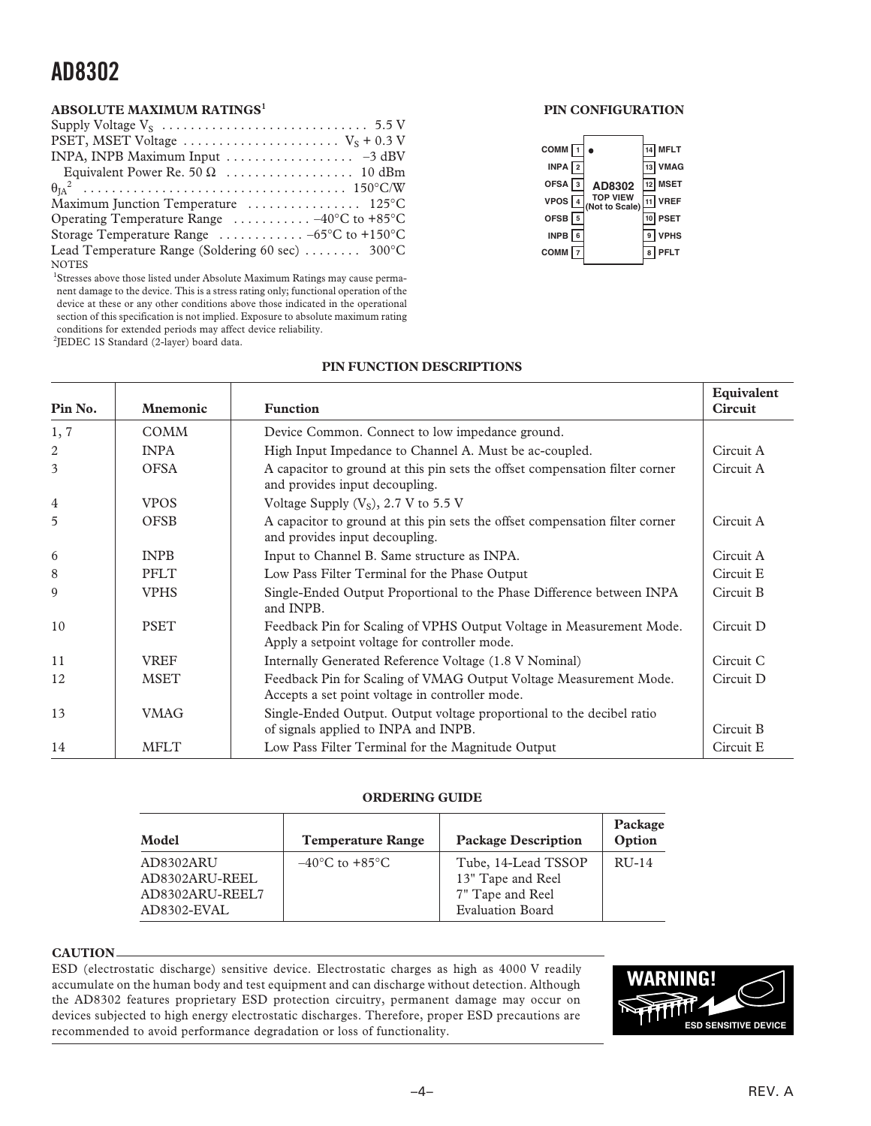#### **ABSOLUTE MAXIMUM RATINGS<sup>1</sup>**

| PSET, MSET Voltage $\dots \dots \dots \dots \dots \dots \dots \dots$ $V_s + 0.3$ V |
|------------------------------------------------------------------------------------|
| INPA, INPB Maximum Input $\ldots \ldots \ldots \ldots \ldots -3$ dBV               |
|                                                                                    |
|                                                                                    |
|                                                                                    |
| Operating Temperature Range $\ldots \ldots \ldots -40^{\circ}C$ to +85°C           |
| Storage Temperature Range $\ldots \ldots \ldots -65$ °C to +150°C                  |
| Lead Temperature Range (Soldering 60 sec) $\dots \dots$ 300°C                      |
| <b>NOTES</b>                                                                       |

<sup>1</sup>Stresses above those listed under Absolute Maximum Ratings may cause permanent damage to the device. This is a stress rating only; functional operation of the device at these or any other conditions above those indicated in the operational section of this specification is not implied. Exposure to absolute maximum rating conditions for extended periods may affect device reliability. 2 JEDEC 1S Standard (2-layer) board data.

#### **PIN CONFIGURATION**

| COMM <sub>1</sub> |               |                            |    | $14$ MFLT   |
|-------------------|---------------|----------------------------|----|-------------|
| INPA $\sqrt{2}$   |               |                            |    | 13 VMAG     |
| OFSA $\sqrt{3}$   |               | AD8302                     |    | 12 MSET     |
| VPOS <sup>[</sup> | $\frac{1}{4}$ | TOP VIEW<br>(Not to Scale) | 11 | <b>VREF</b> |
| OFSB $\sqrt{5}$   |               |                            |    | <b>PSET</b> |
| $INPB$ 6          |               |                            | 9  | <b>VPHS</b> |
| $COMM$ $\sqrt{7}$ |               |                            | 8  | <b>PFLT</b> |
|                   |               |                            |    |             |

#### **PIN FUNCTION DESCRIPTIONS**

| Pin No.        | <b>Mnemonic</b> | <b>Function</b>                                                                                                       | Equivalent<br><b>Circuit</b> |
|----------------|-----------------|-----------------------------------------------------------------------------------------------------------------------|------------------------------|
| 1, 7           | <b>COMM</b>     | Device Common. Connect to low impedance ground.                                                                       |                              |
| $\sqrt{2}$     | <b>INPA</b>     | High Input Impedance to Channel A. Must be ac-coupled.                                                                | Circuit A                    |
| 3              | <b>OFSA</b>     | A capacitor to ground at this pin sets the offset compensation filter corner<br>and provides input decoupling.        | Circuit A                    |
| $\overline{4}$ | <b>VPOS</b>     | Voltage Supply $(VS)$ , 2.7 V to 5.5 V                                                                                |                              |
| 5              | <b>OFSB</b>     | A capacitor to ground at this pin sets the offset compensation filter corner<br>and provides input decoupling.        | Circuit A                    |
| 6              | <b>INPB</b>     | Input to Channel B. Same structure as INPA.                                                                           | Circuit A                    |
| 8              | <b>PFLT</b>     | Low Pass Filter Terminal for the Phase Output                                                                         | Circuit E                    |
| 9              | <b>VPHS</b>     | Single-Ended Output Proportional to the Phase Difference between INPA<br>and INPB.                                    | Circuit B                    |
| 10             | <b>PSET</b>     | Feedback Pin for Scaling of VPHS Output Voltage in Measurement Mode.<br>Apply a setpoint voltage for controller mode. | Circuit D                    |
| 11             | <b>VREF</b>     | Internally Generated Reference Voltage (1.8 V Nominal)                                                                | Circuit C                    |
| 12             | <b>MSET</b>     | Feedback Pin for Scaling of VMAG Output Voltage Measurement Mode.<br>Accepts a set point voltage in controller mode.  | Circuit D                    |
| 13             | <b>VMAG</b>     | Single-Ended Output. Output voltage proportional to the decibel ratio<br>of signals applied to INPA and INPB.         | Circuit B                    |
| 14             | <b>MFLT</b>     | Low Pass Filter Terminal for the Magnitude Output                                                                     | Circuit E                    |

#### **ORDERING GUIDE**

| Model                                                         | <b>Temperature Range</b>           | <b>Package Description</b>                                                       | Package<br>Option |
|---------------------------------------------------------------|------------------------------------|----------------------------------------------------------------------------------|-------------------|
| AD8302ARU<br>AD8302ARU-REEL<br>AD8302ARU-REEL7<br>AD8302-EVAL | $-40^{\circ}$ C to $+85^{\circ}$ C | Tube, 14-Lead TSSOP<br>13" Tape and Reel<br>7" Tape and Reel<br>Evaluation Board | $RU-14$           |

#### **CAUTION**

ESD (electrostatic discharge) sensitive device. Electrostatic charges as high as 4000 V readily accumulate on the human body and test equipment and can discharge without detection. Although the AD8302 features proprietary ESD protection circuitry, permanent damage may occur on devices subjected to high energy electrostatic discharges. Therefore, proper ESD precautions are recommended to avoid performance degradation or loss of functionality.

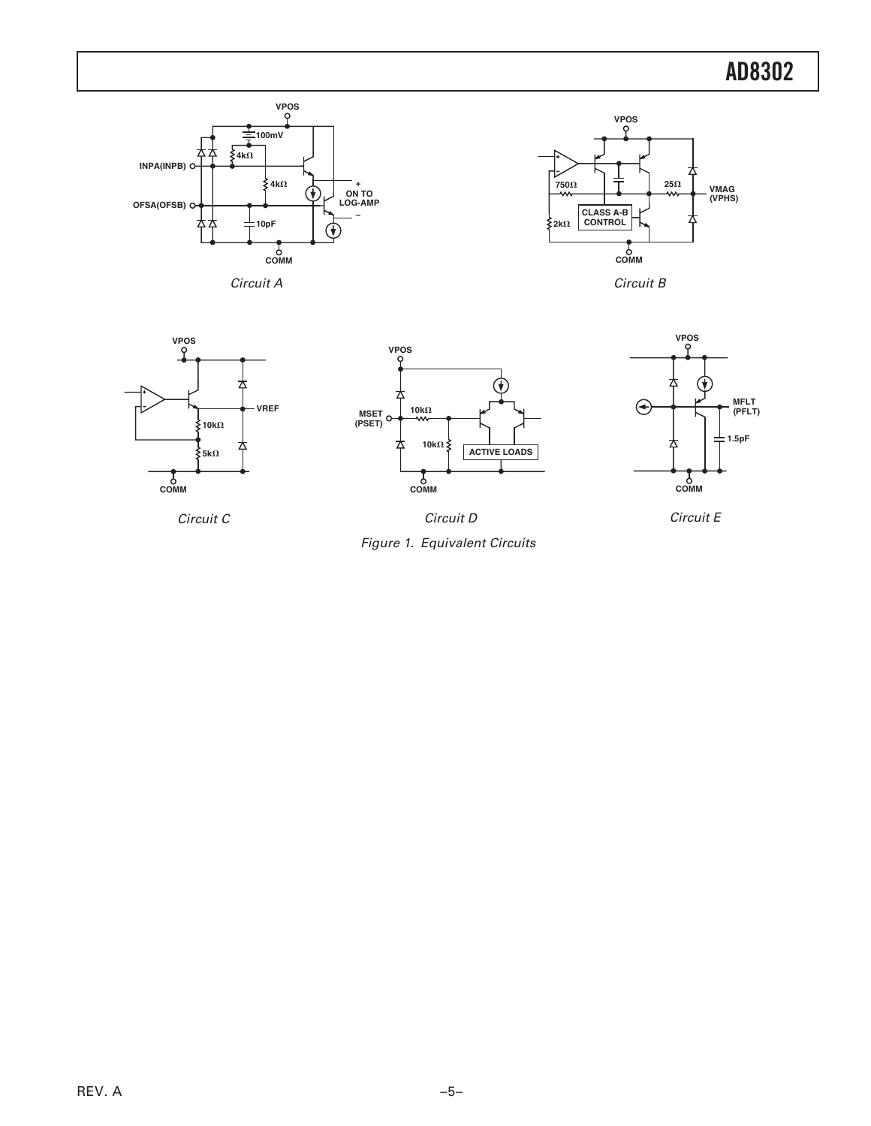



Circuit B







Circuit E

Circuit C

Figure 1. Equivalent Circuits Circuit D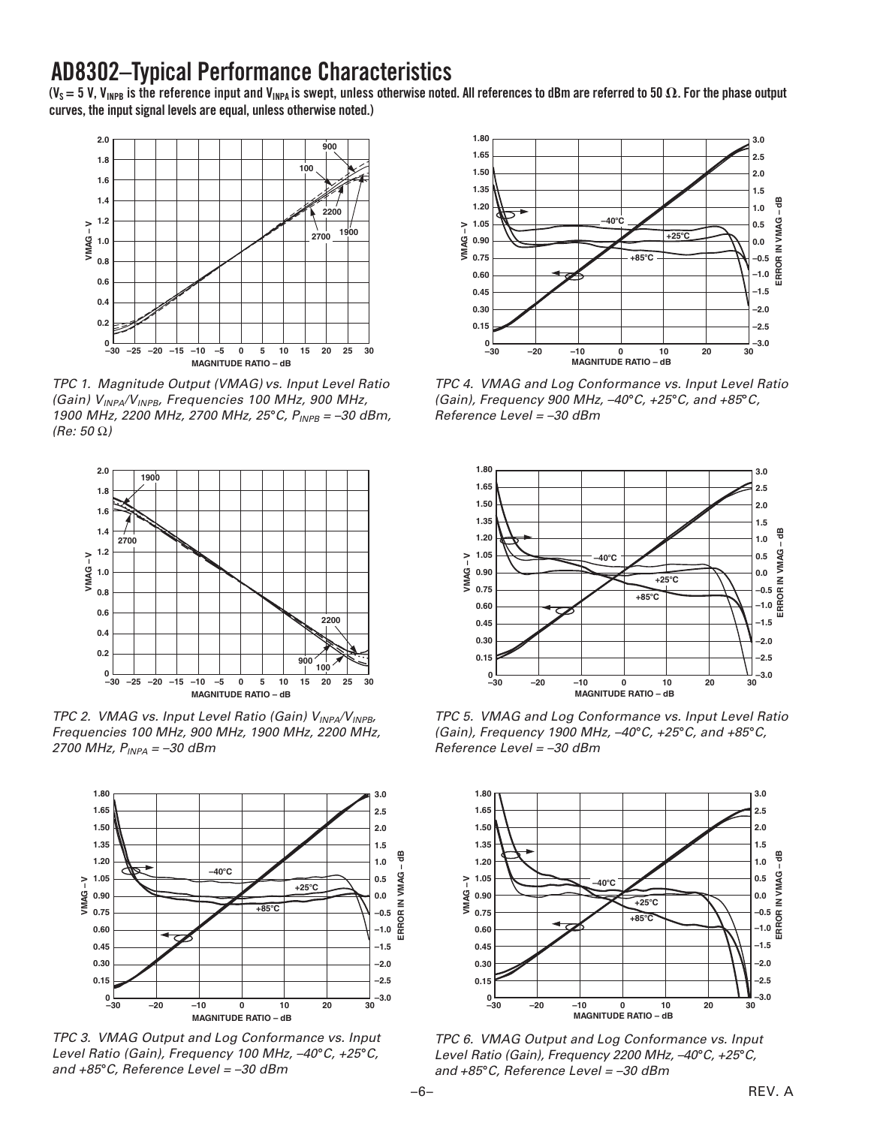### **AD8302 –Typical Performance Characteristics**

( $V_s$  = 5 V, V<sub>INPB</sub> is the reference input and V<sub>INPA</sub> is swept, unless otherwise noted. All references to dBm are referred to 50  $\Omega$ . For the phase output **curves, the input signal levels are equal, unless otherwise noted.)**



TPC 1. Magnitude Output (VMAG) vs. Input Level Ratio (Gain)  $V_{INPA}/V_{INPB}$ , Frequencies 100 MHz, 900 MHz, 1900 MHz, 2200 MHz, 2700 MHz, 25°C, P<sub>INPB</sub> = –30 dBm, (Re: 50 Ω)



TPC 2. VMAG vs. Input Level Ratio (Gain)  $V_{INPA}/V_{INPB}$ , Frequencies 100 MHz, 900 MHz, 1900 MHz, 2200 MHz, 2700 MHz,  $P_{INPA} = -30$  dBm



TPC 3. VMAG Output and Log Conformance vs. Input Level Ratio (Gain), Frequency 100 MHz, –40°C, +25°C, and +85-C, Reference Level = –30 dBm



TPC 4. VMAG and Log Conformance vs. Input Level Ratio (Gain), Frequency 900 MHz, -40°C, +25°C, and +85°C, Reference Level = –30 dBm



TPC 5. VMAG and Log Conformance vs. Input Level Ratio (Gain), Frequency 1900 MHz, –40°C, +25°C, and +85°C, Reference Level = –30 dBm



TPC 6. VMAG Output and Log Conformance vs. Input Level Ratio (Gain), Frequency 2200 MHz, –40°C, +25°C, and +85-C, Reference Level = –30 dBm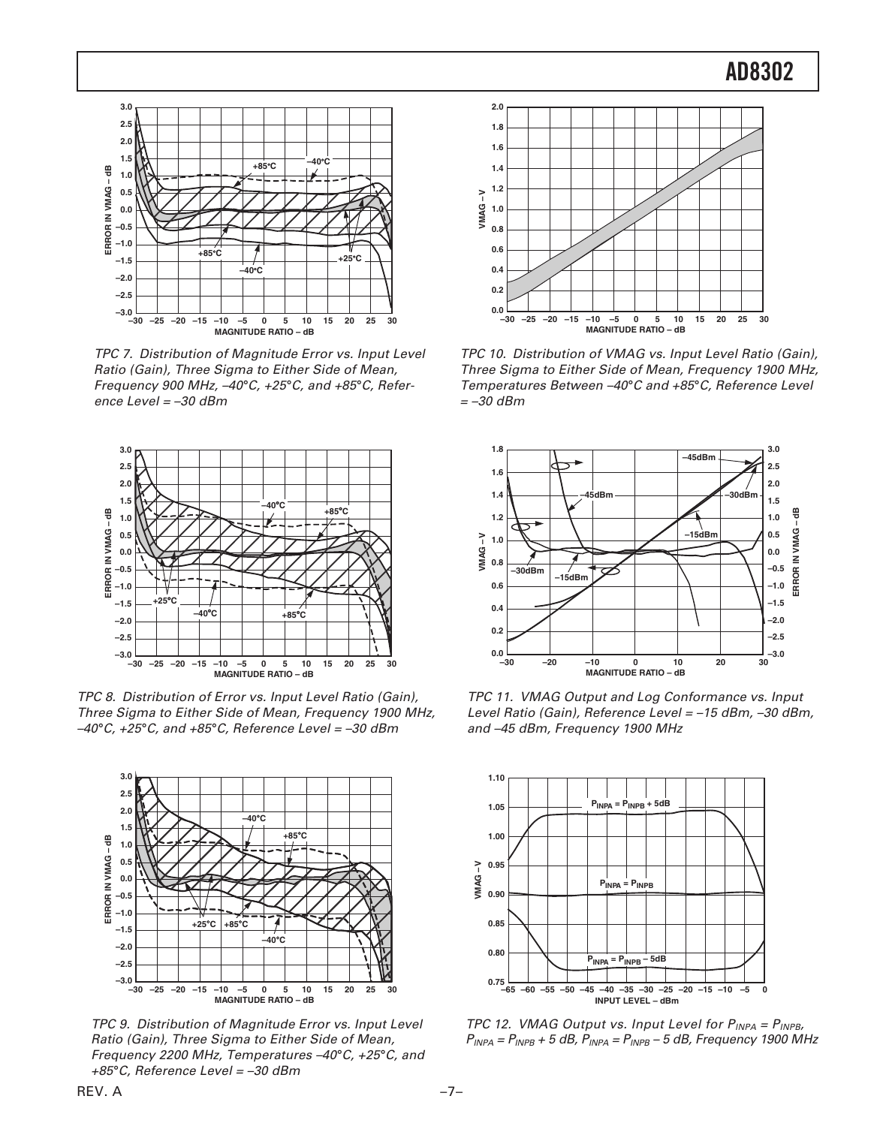

TPC 7. Distribution of Magnitude Error vs. Input Level Ratio (Gain), Three Sigma to Either Side of Mean, Frequency 900 MHz, –40°C, +25°C, and +85°C, Reference Level = –30 dBm



TPC 8. Distribution of Error vs. Input Level Ratio (Gain), Three Sigma to Either Side of Mean, Frequency 1900 MHz, –40°C, +25°C, and +85°C, Reference Level = –30 dBm



TPC 9. Distribution of Magnitude Error vs. Input Level Ratio (Gain), Three Sigma to Either Side of Mean, Frequency 2200 MHz, Temperatures –40°C, +25°C, and +85-C, Reference Level = –30 dBm



TPC 10. Distribution of VMAG vs. Input Level Ratio (Gain), Three Sigma to Either Side of Mean, Frequency 1900 MHz, Temperatures Between -40°C and +85°C, Reference Level  $=-30$  dBm



TPC 11. VMAG Output and Log Conformance vs. Input Level Ratio (Gain), Reference Level = –15 dBm, –30 dBm, and –45 dBm, Frequency 1900 MHz



TPC 12. VMAG Output vs. Input Level for  $P_{INPA} = P_{INPB}$ ,  $P_{INPA} = P_{INPB} + 5$  dB,  $P_{INPA} = P_{INPB} - 5$  dB, Frequency 1900 MHz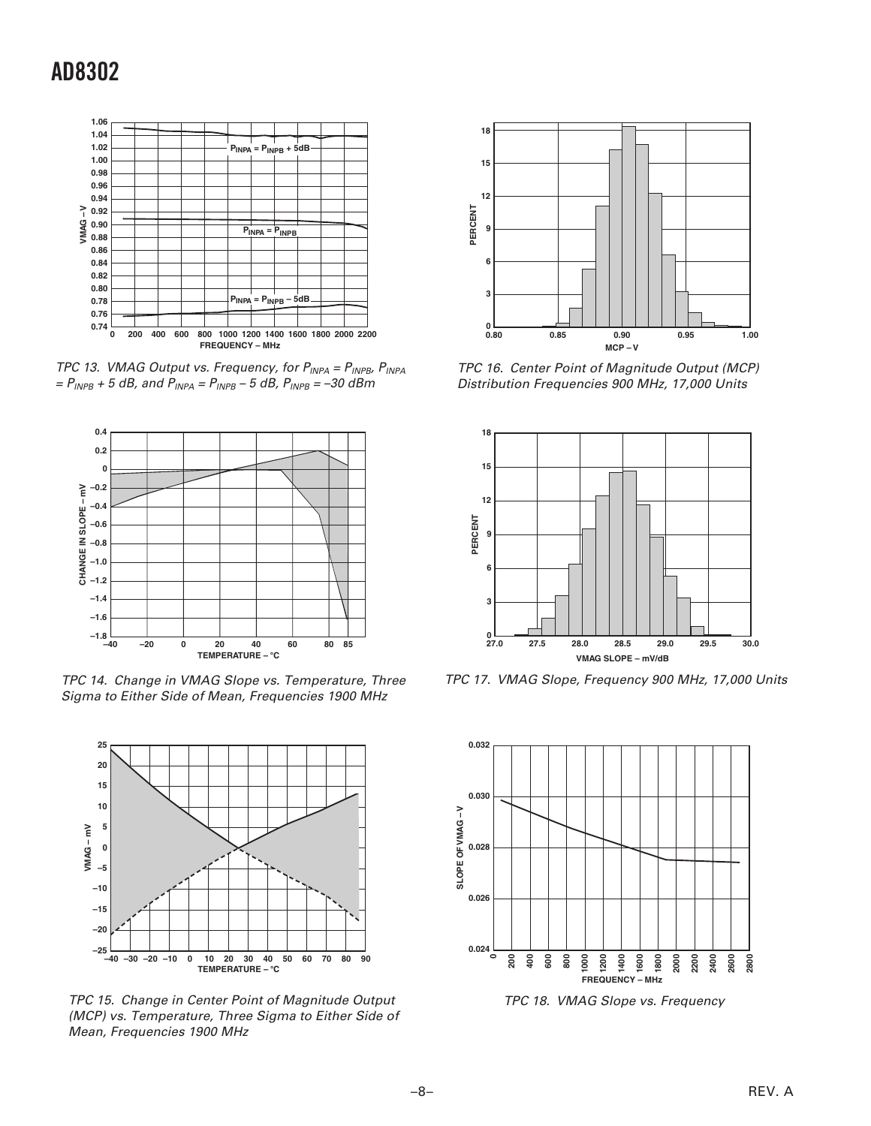

TPC 13. VMAG Output vs. Frequency, for  $P_{INPA} = P_{INPB}$ ,  $P_{INPA}$  $= P_{INPB} + 5 dB$ , and  $P_{INPA} = P_{INPB} - 5 dB$ ,  $P_{INPB} = -30 dB$ m



TPC 14. Change in VMAG Slope vs. Temperature, Three Sigma to Either Side of Mean, Frequencies 1900 MHz



TPC 15. Change in Center Point of Magnitude Output (MCP) vs. Temperature, Three Sigma to Either Side of Mean, Frequencies 1900 MHz



TPC 16. Center Point of Magnitude Output (MCP) Distribution Frequencies 900 MHz, 17,000 Units



TPC 17. VMAG Slope, Frequency 900 MHz, 17,000 Units



TPC 18. VMAG Slope vs. Frequency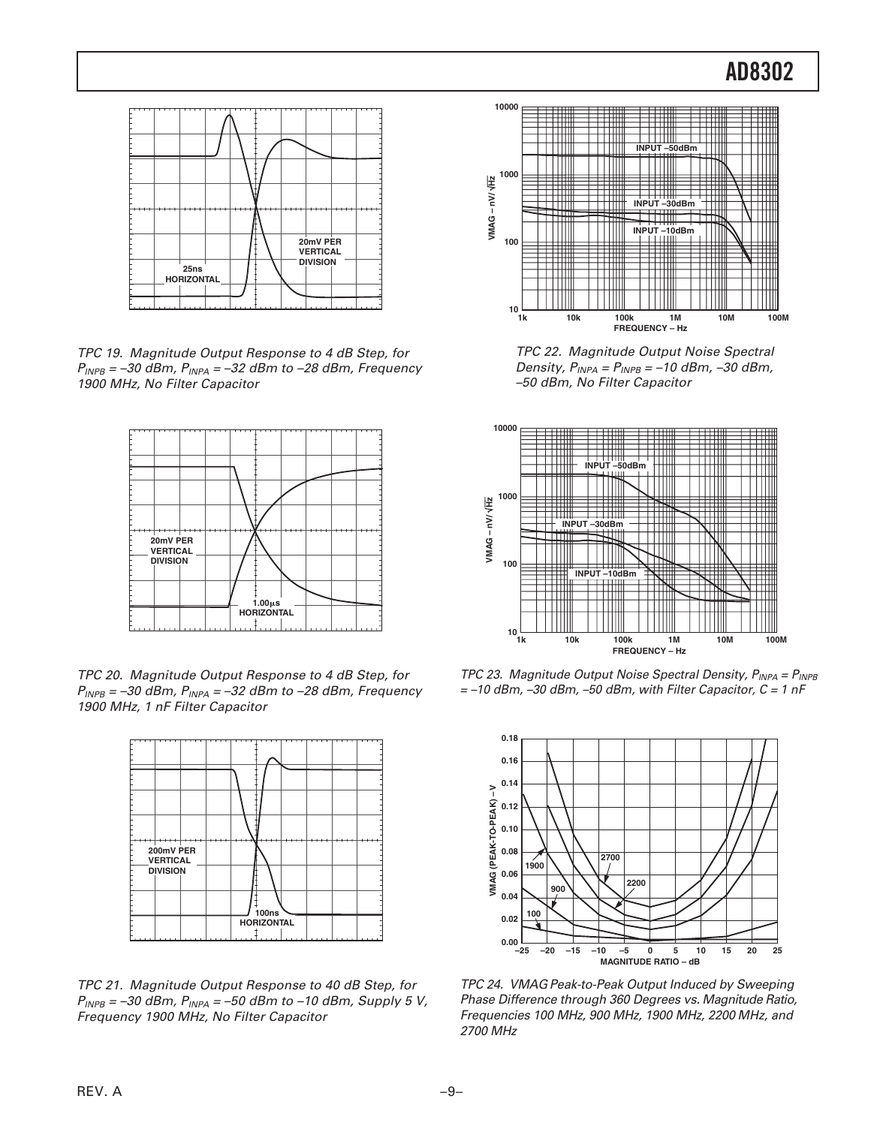

TPC 19. Magnitude Output Response to 4 dB Step, for  $P_{\text{INPB}} = -30$  dBm,  $P_{\text{INPA}} = -32$  dBm to  $-28$  dBm, Frequency 1900 MHz, No Filter Capacitor



TPC 20. Magnitude Output Response to 4 dB Step, for  $P_{INPB}$  = -30 dBm,  $P_{INPA}$  = -32 dBm to -28 dBm, Frequency 1900 MHz, 1 nF Filter Capacitor



TPC 21. Magnitude Output Response to 40 dB Step, for  $P_{INPB} = -30$  dBm,  $P_{INPA} = -50$  dBm to -10 dBm, Supply 5 V, Frequency 1900 MHz, No Filter Capacitor



TPC 22. Magnitude Output Noise Spectral Density,  $P_{INPA} = P_{INPB} = -10$  dBm,  $-30$  dBm, –50 dBm, No Filter Capacitor



TPC 23. Magnitude Output Noise Spectral Density,  $P_{INPA} = P_{INPB}$  $=$  -10 dBm, -30 dBm, -50 dBm, with Filter Capacitor,  $C = 1$  nF



TPC 24. VMAG Peak-to-Peak Output Induced by Sweeping Phase Difference through 360 Degrees vs. Magnitude Ratio, Frequencies 100 MHz, 900 MHz, 1900 MHz, 2200 MHz, and 2700 MHz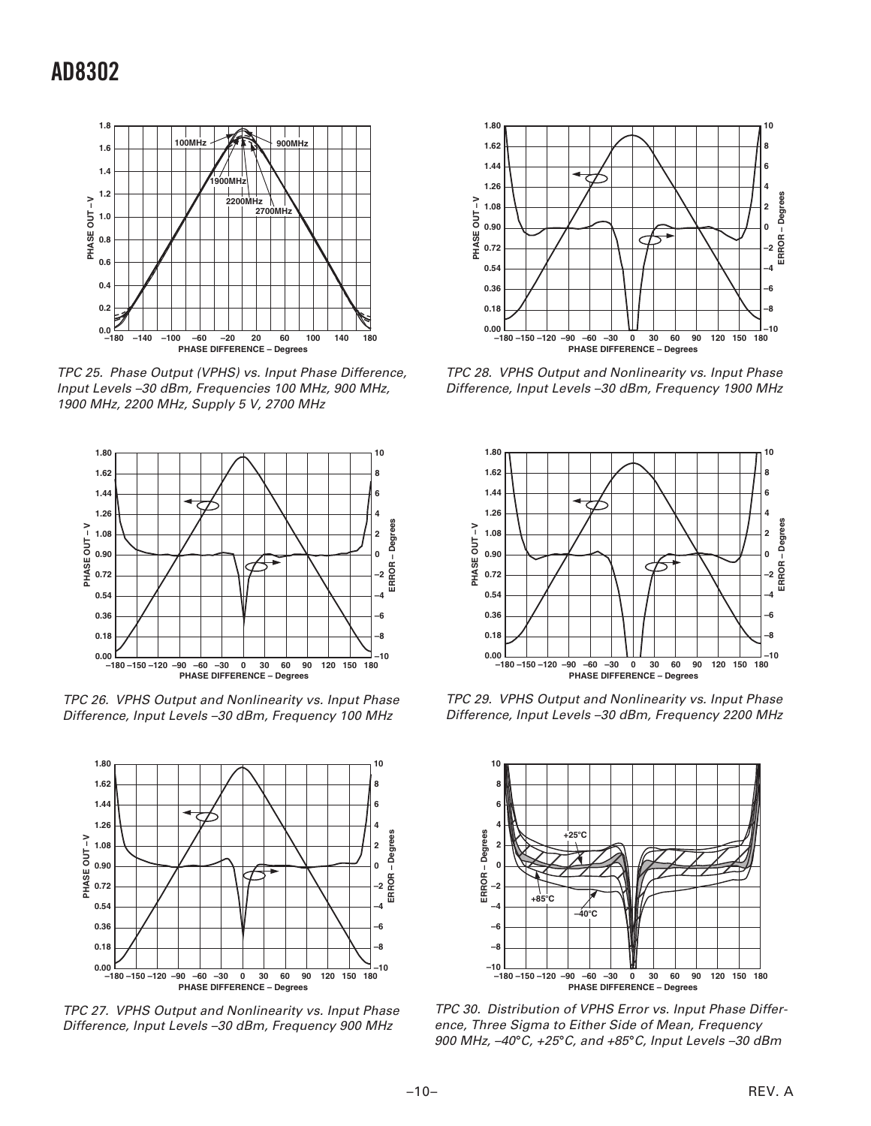

TPC 25. Phase Output (VPHS) vs. Input Phase Difference, Input Levels –30 dBm, Frequencies 100 MHz, 900 MHz, 1900 MHz, 2200 MHz, Supply 5 V, 2700 MHz



TPC 26. VPHS Output and Nonlinearity vs. Input Phase Difference, Input Levels –30 dBm, Frequency 100 MHz



TPC 27. VPHS Output and Nonlinearity vs. Input Phase Difference, Input Levels –30 dBm, Frequency 900 MHz



TPC 28. VPHS Output and Nonlinearity vs. Input Phase Difference, Input Levels –30 dBm, Frequency 1900 MHz



TPC 29. VPHS Output and Nonlinearity vs. Input Phase Difference, Input Levels –30 dBm, Frequency 2200 MHz



TPC 30. Distribution of VPHS Error vs. Input Phase Difference, Three Sigma to Either Side of Mean, Frequency 900 MHz, –40°C, +25°C, and +85°C, Input Levels –30 dBm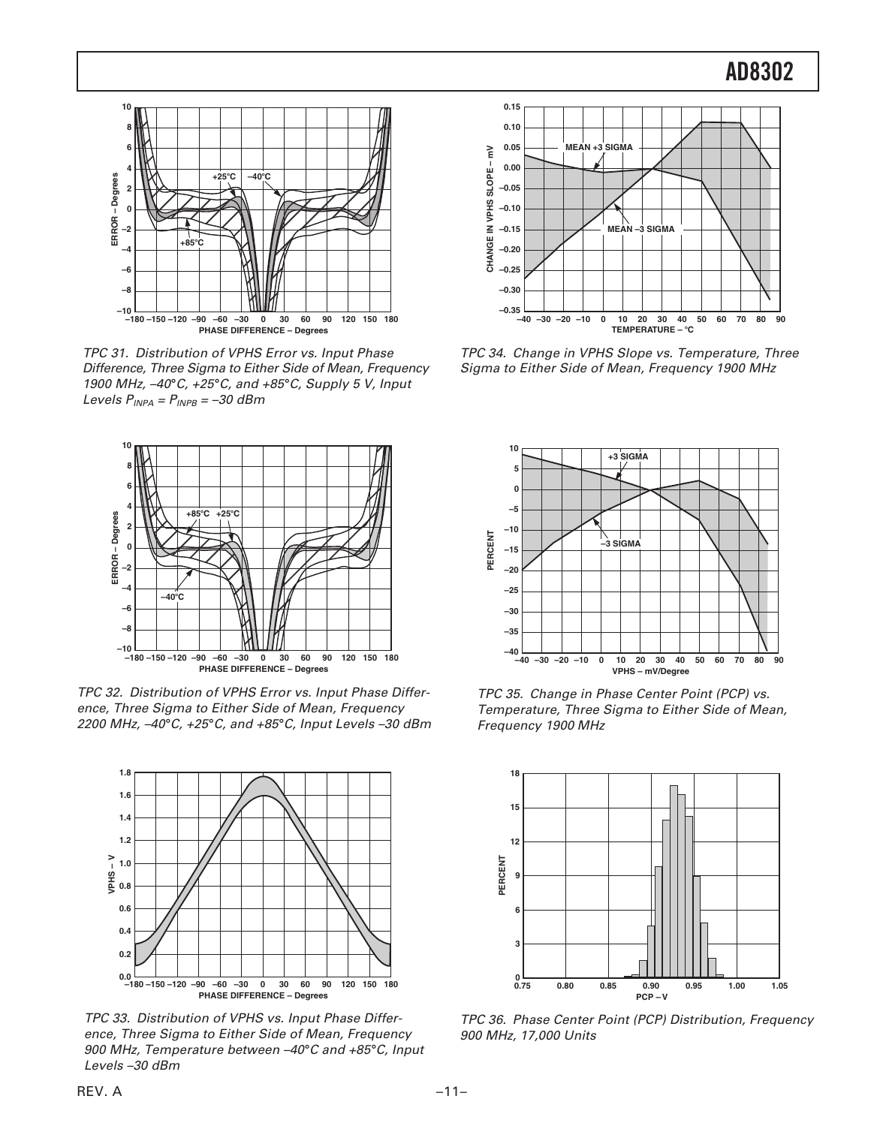

TPC 31. Distribution of VPHS Error vs. Input Phase Difference, Three Sigma to Either Side of Mean, Frequency 1900 MHz, -40°C, +25°C, and +85°C, Supply 5 V, Input Levels  $P_{INPA} = P_{INPB} = -30$  dBm



TPC 32. Distribution of VPHS Error vs. Input Phase Difference, Three Sigma to Either Side of Mean, Frequency 2200 MHz, –40°C, +25°C, and +85°C, Input Levels –30 dBm



TPC 33. Distribution of VPHS vs. Input Phase Difference, Three Sigma to Either Side of Mean, Frequency 900 MHz, Temperature between –40°C and +85°C, Input Levels –30 dBm



TPC 34. Change in VPHS Slope vs. Temperature, Three Sigma to Either Side of Mean, Frequency 1900 MHz



TPC 35. Change in Phase Center Point (PCP) vs. Temperature, Three Sigma to Either Side of Mean, Frequency 1900 MHz



TPC 36. Phase Center Point (PCP) Distribution, Frequency 900 MHz, 17,000 Units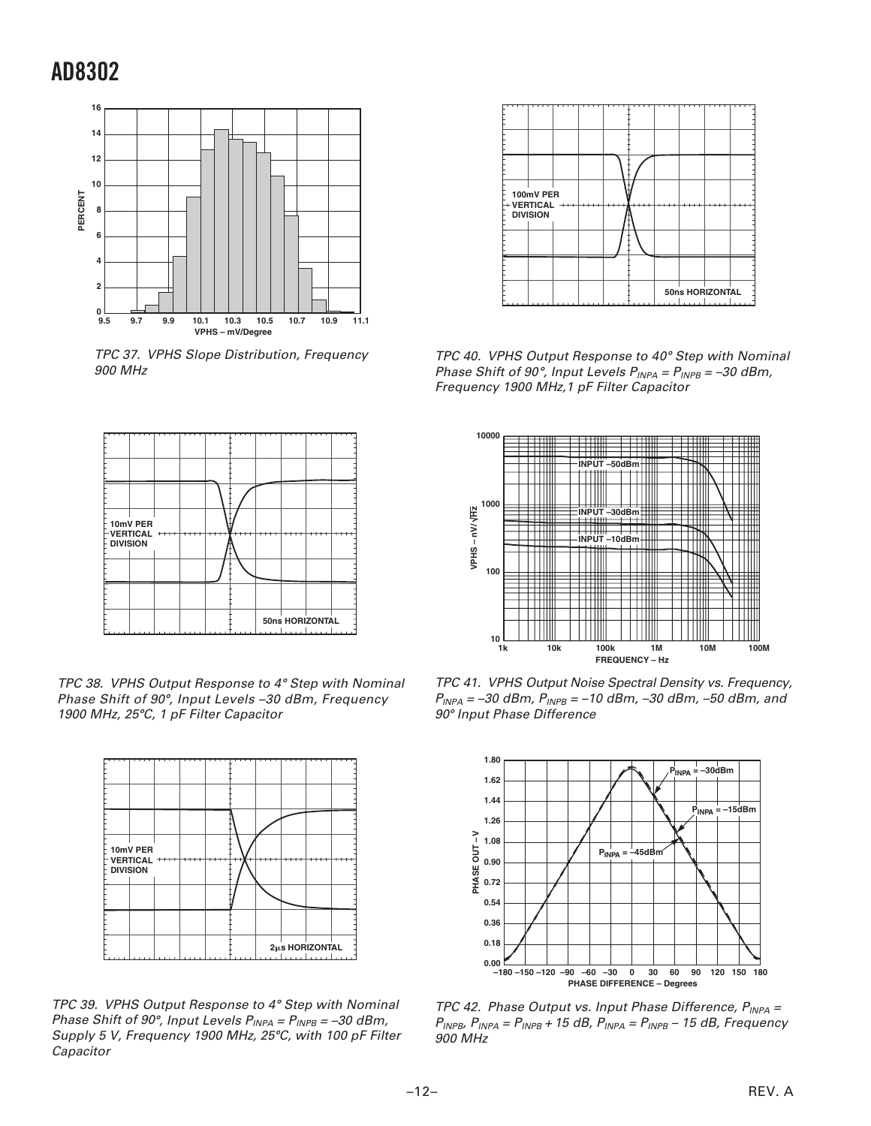

TPC 37. VPHS Slope Distribution, Frequency 900 MHz



TPC 38. VPHS Output Response to 4° Step with Nominal Phase Shift of 90°, Input Levels –30 dBm, Frequency 1900 MHz, 25°C, 1 pF Filter Capacitor



TPC 39. VPHS Output Response to 4° Step with Nominal Phase Shift of 90°, Input Levels P<sub>INPA</sub> = P<sub>INPB</sub> = –30 dBm, Supply 5 V, Frequency 1900 MHz, 25°C, with 100 pF Filter Capacitor



TPC 40. VPHS Output Response to 40° Step with Nominal Phase Shift of 90°, Input Levels P<sub>INPA</sub> = P<sub>INPB</sub> = –30 dBm, Frequency 1900 MHz,1 pF Filter Capacitor



TPC 41. VPHS Output Noise Spectral Density vs. Frequency,  $P_{INPA} = -30$  dBm,  $P_{INPB} = -10$  dBm,  $-30$  dBm,  $-50$  dBm, and 90- Input Phase Difference



TPC 42. Phase Output vs. Input Phase Difference,  $P_{INPA}$  =  $P_{INPB}$ ,  $P_{INPA} = P_{INPB} + 15$  dB,  $P_{INPA} = P_{INPB} - 15$  dB, Frequency 900 MHz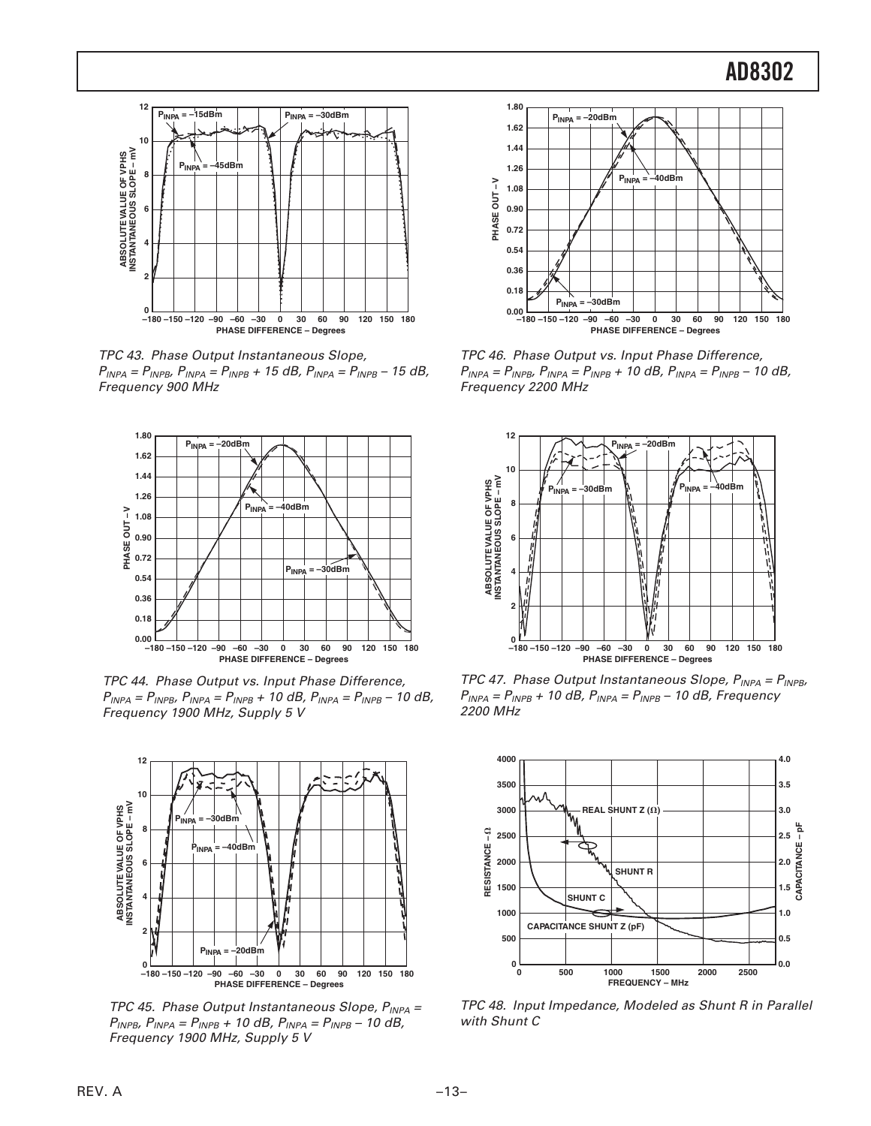

TPC 43. Phase Output Instantaneous Slope,  $P_{INPA} = P_{INPB}$ ,  $P_{INPA} = P_{INPB} + 15$  dB,  $P_{INPA} = P_{INPB} - 15$  dB, Frequency 900 MHz



TPC 44. Phase Output vs. Input Phase Difference,  $P_{INPA} = P_{INPB}$ ,  $P_{INPA} = P_{INPB} + 10$  dB,  $P_{INPA} = P_{INPB} - 10$  dB, Frequency 1900 MHz, Supply 5 V



TPC 45. Phase Output Instantaneous Slope,  $P_{INPA}$  =  $P_{INPB}$ ,  $P_{INPA} = P_{INPB} + 10$  dB,  $P_{INPA} = P_{INPB} - 10$  dB, Frequency 1900 MHz, Supply 5 V



TPC 46. Phase Output vs. Input Phase Difference,  $P_{INPA} = P_{INPB}$ ,  $P_{INPA} = P_{INPB} + 10$  dB,  $P_{INPA} = P_{INPB} - 10$  dB, Frequency 2200 MHz



TPC 47. Phase Output Instantaneous Slope,  $P_{INPA} = P_{INPB}$ ,  $P_{INPA} = P_{INPB} + 10$  dB,  $P_{INPA} = P_{INPB} - 10$  dB, Frequency 2200 MHz



TPC 48. Input Impedance, Modeled as Shunt R in Parallel with Shunt C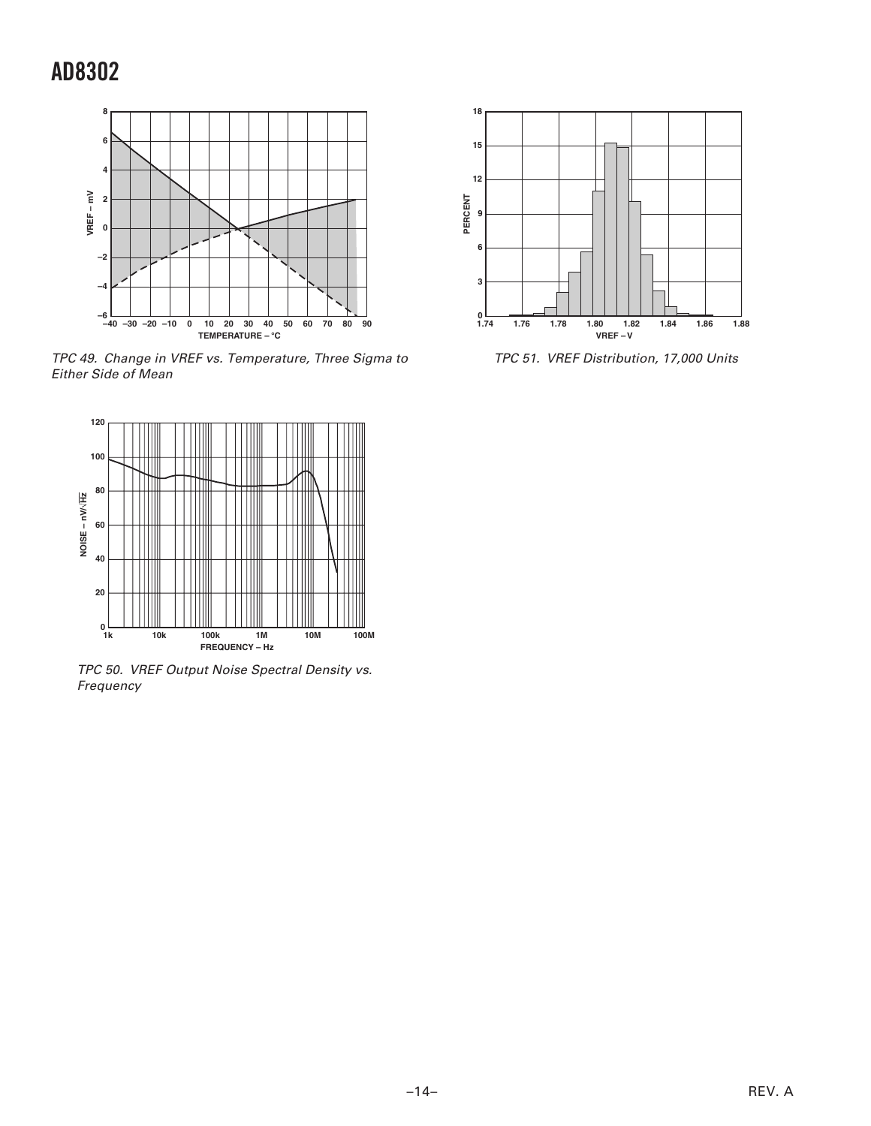

TPC 49. Change in VREF vs. Temperature, Three Sigma to Either Side of Mean



TPC 50. VREF Output Noise Spectral Density vs. Frequency



TPC 51. VREF Distribution, 17,000 Units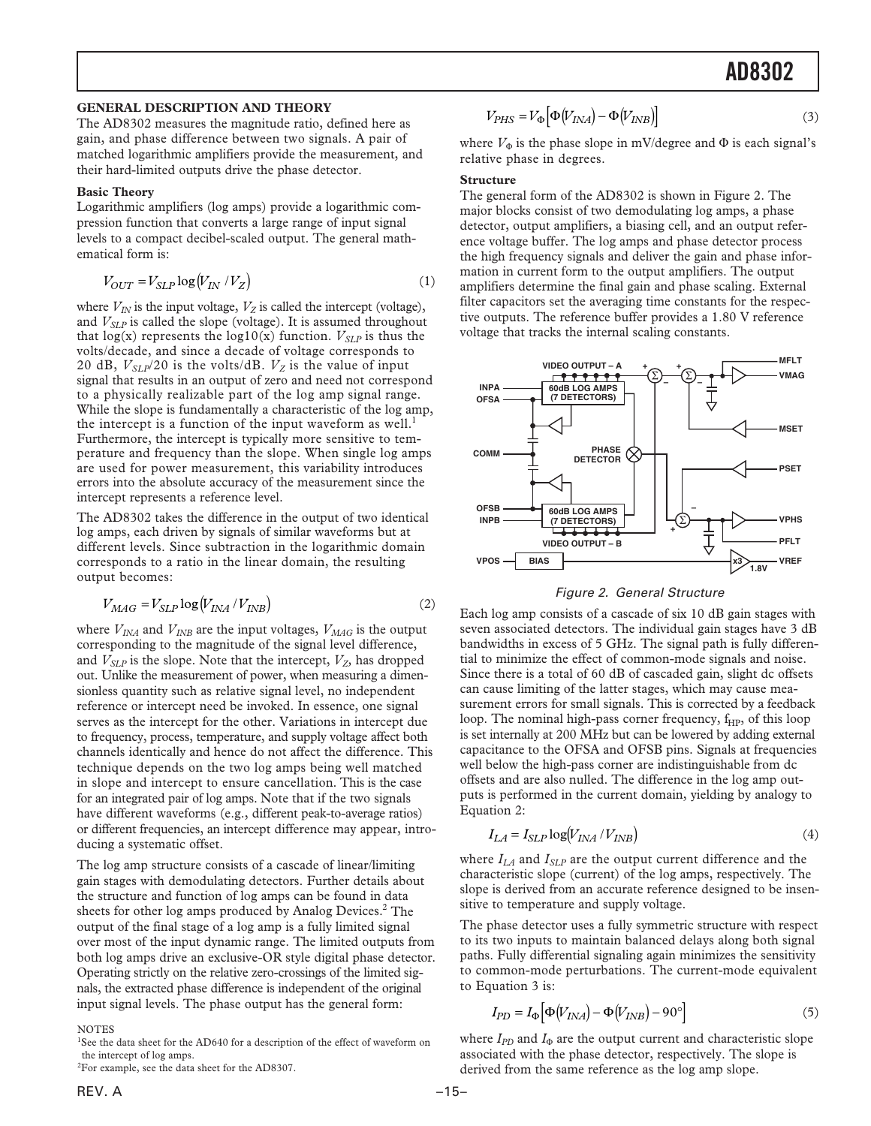#### **GENERAL DESCRIPTION AND THEORY**

The AD8302 measures the magnitude ratio, defined here as gain, and phase difference between two signals. A pair of matched logarithmic amplifiers provide the measurement, and their hard-limited outputs drive the phase detector.

#### **Basic Theory**

Logarithmic amplifiers (log amps) provide a logarithmic compression function that converts a large range of input signal levels to a compact decibel-scaled output. The general mathematical form is:

$$
V_{OUT} = V_{SLP} \log(V_{IN} / V_Z)
$$
 (1)

where  $V_{IN}$  is the input voltage,  $V_Z$  is called the intercept (voltage), and  $V_{SLP}$  is called the slope (voltage). It is assumed throughout that  $log(x)$  represents the  $log10(x)$  function.  $V_{SLP}$  is thus the volts/decade, and since a decade of voltage corresponds to 20 dB,  $V_{SLP}/20$  is the volts/dB.  $V_Z$  is the value of input signal that results in an output of zero and need not correspond to a physically realizable part of the log amp signal range. While the slope is fundamentally a characteristic of the log amp, the intercept is a function of the input waveform as well.<sup>1</sup> Furthermore, the intercept is typically more sensitive to temperature and frequency than the slope. When single log amps are used for power measurement, this variability introduces errors into the absolute accuracy of the measurement since the intercept represents a reference level.

The AD8302 takes the difference in the output of two identical log amps, each driven by signals of similar waveforms but at different levels. Since subtraction in the logarithmic domain corresponds to a ratio in the linear domain, the resulting output becomes:

$$
V_{MAG} = V_{SLP} \log (V_{INA} / V_{INB})
$$
\n<sup>(2)</sup>

where  $V_{INA}$  and  $V_{INB}$  are the input voltages,  $V_{MAG}$  is the output corresponding to the magnitude of the signal level difference, and  $V_{SLP}$  is the slope. Note that the intercept,  $V_Z$ , has dropped out. Unlike the measurement of power, when measuring a dimensionless quantity such as relative signal level, no independent reference or intercept need be invoked. In essence, one signal serves as the intercept for the other. Variations in intercept due to frequency, process, temperature, and supply voltage affect both channels identically and hence do not affect the difference. This technique depends on the two log amps being well matched in slope and intercept to ensure cancellation. This is the case for an integrated pair of log amps. Note that if the two signals have different waveforms (e.g., different peak-to-average ratios) or different frequencies, an intercept difference may appear, introducing a systematic offset.

The log amp structure consists of a cascade of linear/limiting gain stages with demodulating detectors. Further details about the structure and function of log amps can be found in data sheets for other log amps produced by Analog Devices.<sup>2</sup> The output of the final stage of a log amp is a fully limited signal over most of the input dynamic range. The limited outputs from both log amps drive an exclusive-OR style digital phase detector. Operating strictly on the relative zero-crossings of the limited signals, the extracted phase difference is independent of the original input signal levels. The phase output has the general form:

#### **NOTES**

<sup>1</sup>See the data sheet for the AD640 for a description of the effect of waveform on the intercept of log amps.

$$
{}^{2}
$$
For example, see the data sheet for the AD8307.

$$
V_{PHS} = V_{\Phi} \Big[ \Phi \big( V_{INA} \big) - \Phi \big( V_{INB} \big) \Big] \tag{3}
$$

where  $V_{\Phi}$  is the phase slope in mV/degree and  $\Phi$  is each signal's relative phase in degrees.

#### **Structure**

The general form of the AD8302 is shown in Figure 2. The major blocks consist of two demodulating log amps, a phase detector, output amplifiers, a biasing cell, and an output reference voltage buffer. The log amps and phase detector process the high frequency signals and deliver the gain and phase information in current form to the output amplifiers. The output amplifiers determine the final gain and phase scaling. External filter capacitors set the averaging time constants for the respective outputs. The reference buffer provides a 1.80 V reference voltage that tracks the internal scaling constants.



Figure 2. General Structure

Each log amp consists of a cascade of six 10 dB gain stages with seven associated detectors. The individual gain stages have 3 dB bandwidths in excess of 5 GHz. The signal path is fully differential to minimize the effect of common-mode signals and noise. Since there is a total of 60 dB of cascaded gain, slight dc offsets can cause limiting of the latter stages, which may cause measurement errors for small signals. This is corrected by a feedback loop. The nominal high-pass corner frequency,  $f_{HP}$ , of this loop is set internally at 200 MHz but can be lowered by adding external capacitance to the OFSA and OFSB pins. Signals at frequencies well below the high-pass corner are indistinguishable from dc offsets and are also nulled. The difference in the log amp outputs is performed in the current domain, yielding by analogy to Equation 2:

$$
I_{LA} = I_{SLP} \log(V_{INA} / V_{INB})
$$
\n<sup>(4)</sup>

where  $I_{LA}$  and  $I_{SLP}$  are the output current difference and the characteristic slope (current) of the log amps, respectively. The slope is derived from an accurate reference designed to be insensitive to temperature and supply voltage.

The phase detector uses a fully symmetric structure with respect to its two inputs to maintain balanced delays along both signal paths. Fully differential signaling again minimizes the sensitivity to common-mode perturbations. The current-mode equivalent to Equation 3 is:

$$
I_{PD} = I_{\Phi} \left[ \Phi \left( V_{INA} \right) - \Phi \left( V_{INB} \right) - 90^{\circ} \right] \tag{5}
$$

where  $I_{PD}$  and  $I_{\Phi}$  are the output current and characteristic slope associated with the phase detector, respectively. The slope is derived from the same reference as the log amp slope.

ľ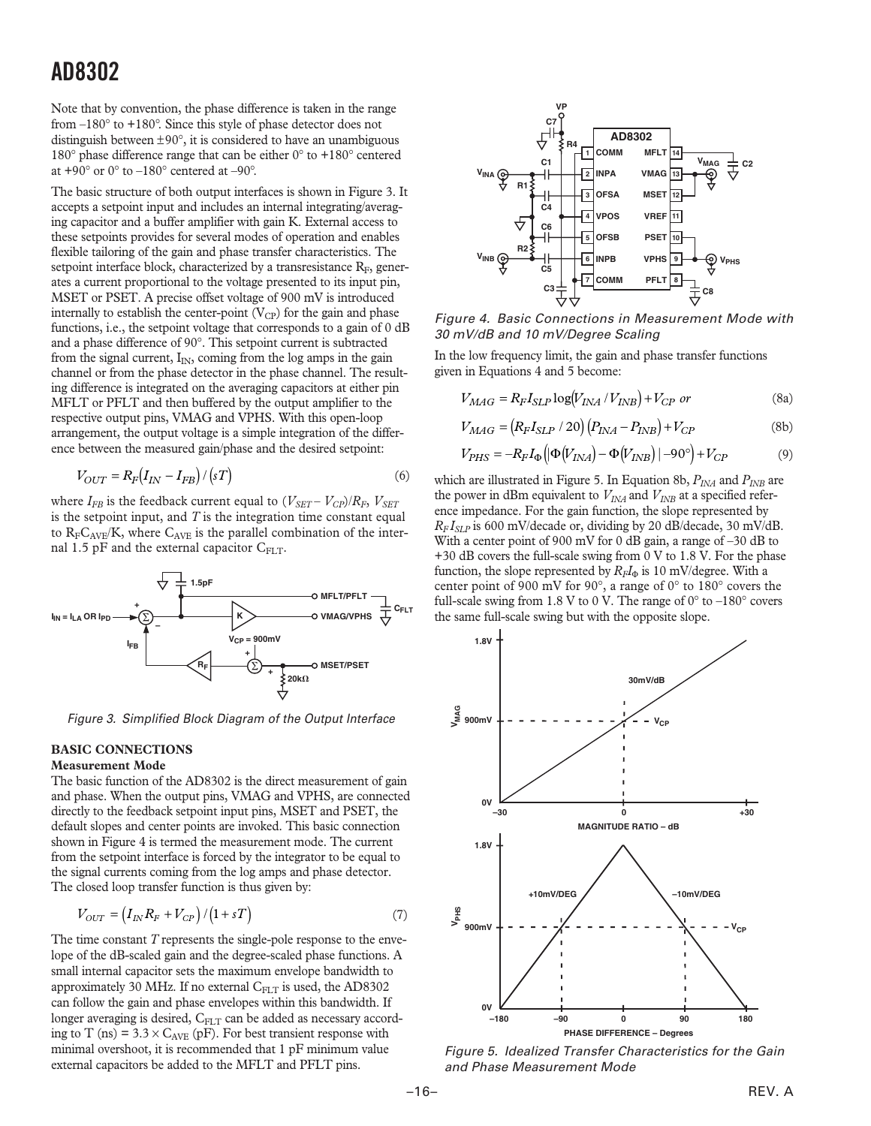Note that by convention, the phase difference is taken in the range from –180° to +180°. Since this style of phase detector does not distinguish between  $\pm 90^{\circ}$ , it is considered to have an unambiguous 180° phase difference range that can be either 0° to +180° centered at +90 $^{\circ}$  or 0 $^{\circ}$  to -180 $^{\circ}$  centered at -90 $^{\circ}$ .

The basic structure of both output interfaces is shown in Figure 3. It accepts a setpoint input and includes an internal integrating/averaging capacitor and a buffer amplifier with gain K. External access to these setpoints provides for several modes of operation and enables flexible tailoring of the gain and phase transfer characteristics. The setpoint interface block, characterized by a transresistance  $R_F$ , generates a current proportional to the voltage presented to its input pin, MSET or PSET. A precise offset voltage of 900 mV is introduced internally to establish the center-point  $(V_{CP})$  for the gain and phase functions, i.e., the setpoint voltage that corresponds to a gain of 0 dB and a phase difference of 90°. This setpoint current is subtracted from the signal current,  $I_{IN}$ , coming from the log amps in the gain channel or from the phase detector in the phase channel. The resulting difference is integrated on the averaging capacitors at either pin MFLT or PFLT and then buffered by the output amplifier to the respective output pins, VMAG and VPHS. With this open-loop arrangement, the output voltage is a simple integration of the difference between the measured gain/phase and the desired setpoint:

$$
V_{OUT} = R_F (I_{IN} - I_{FB}) / (sT) \tag{6}
$$

where  $I_{FB}$  is the feedback current equal to  $(V_{SET} - V_{CP})/R_F$ ,  $V_{SET}$ is the setpoint input, and *T* is the integration time constant equal to  $R_F C_{AVE} / K$ , where  $C_{AVE}$  is the parallel combination of the internal 1.5 pF and the external capacitor  $C_{FLT}$ .



Figure 3. Simplified Block Diagram of the Output Interface

### **BASIC CONNECTIONS**

### **Measurement Mode**

The basic function of the AD8302 is the direct measurement of gain and phase. When the output pins, VMAG and VPHS, are connected directly to the feedback setpoint input pins, MSET and PSET, the default slopes and center points are invoked. This basic connection shown in Figure 4 is termed the measurement mode. The current from the setpoint interface is forced by the integrator to be equal to the signal currents coming from the log amps and phase detector. The closed loop transfer function is thus given by:

$$
V_{OUT} = \left(I_{IN}R_F + V_{CP}\right)/\left(1 + sT\right) \tag{7}
$$

The time constant *T* represents the single-pole response to the envelope of the dB-scaled gain and the degree-scaled phase functions. A small internal capacitor sets the maximum envelope bandwidth to approximately 30 MHz. If no external  $C_{FLT}$  is used, the AD8302 can follow the gain and phase envelopes within this bandwidth. If longer averaging is desired, CFLT can be added as necessary according to T (ns) =  $3.3 \times C_{AVE}$  (pF). For best transient response with minimal overshoot, it is recommended that 1 pF minimum value external capacitors be added to the MFLT and PFLT pins.



Figure 4. Basic Connections in Measurement Mode with 30 mV/dB and 10 mV/Degree Scaling

In the low frequency limit, the gain and phase transfer functions given in Equations 4 and 5 become:

$$
V_{MAG} = R_F I_{SLP} \log(V_{INA} / V_{INB}) + V_{CP} \text{ or}
$$
 (8a)

$$
V_{MAG} = (R_F I_{SLP} / 20) (P_{INA} - P_{INB}) + V_{CP}
$$
 (8b)

$$
V_{PHS} = -R_F I_{\Phi} \left( \left| \Phi \left( V_{INA} \right) - \Phi \left( V_{INB} \right) \right| - 90^{\circ} \right) + V_{CP} \tag{9}
$$

which are illustrated in Figure 5. In Equation 8b,  $P_{INA}$  and  $P_{INB}$  are the power in dBm equivalent to  $V_{INA}$  and  $V_{INB}$  at a specified reference impedance. For the gain function, the slope represented by  $R_F I_{SLP}$  is 600 mV/decade or, dividing by 20 dB/decade, 30 mV/dB. With a center point of 900 mV for 0 dB gain, a range of -30 dB to +30 dB covers the full-scale swing from 0 V to 1.8 V. For the phase function, the slope represented by  $R_F I_\Phi$  is 10 mV/degree. With a center point of 900 mV for 90°, a range of 0° to 180° covers the full-scale swing from 1.8 V to 0 V. The range of  $0^{\circ}$  to  $-180^{\circ}$  covers the same full-scale swing but with the opposite slope.



Figure 5. Idealized Transfer Characteristics for the Gain and Phase Measurement Mode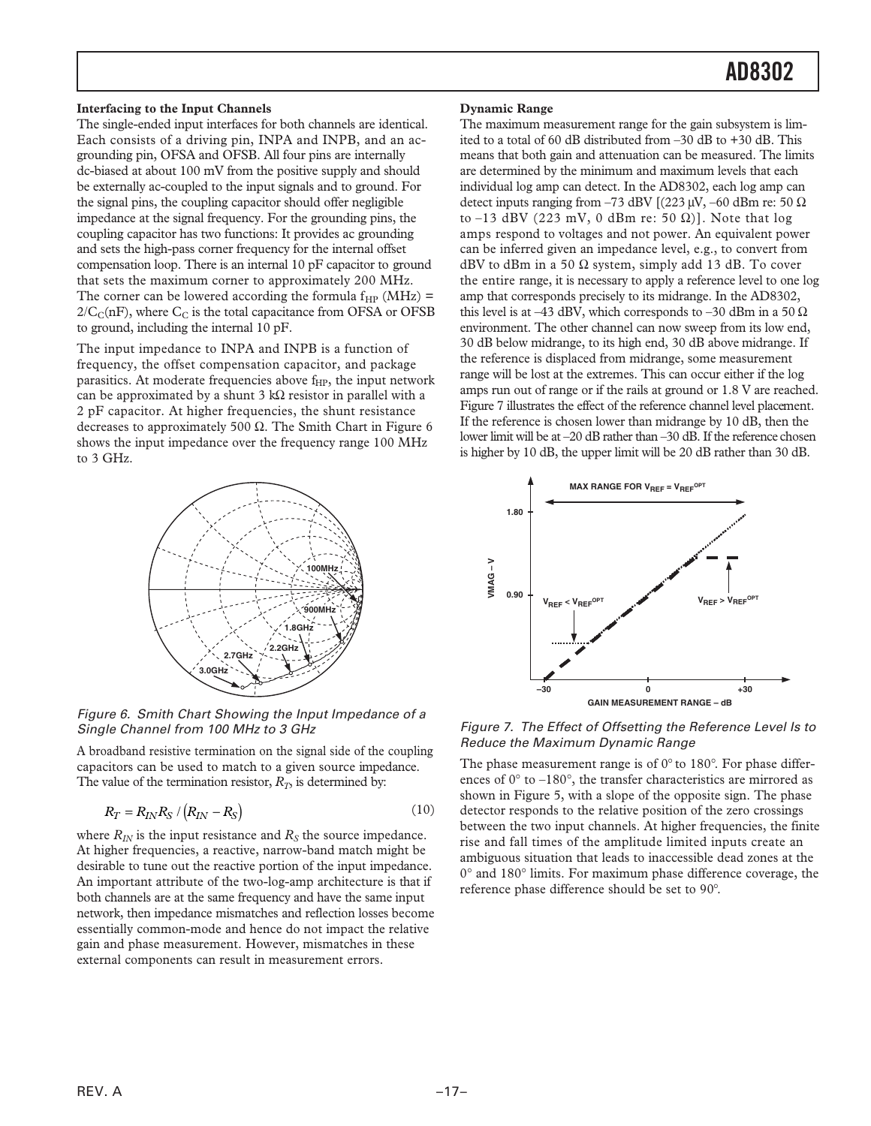#### **Interfacing to the Input Channels**

The single-ended input interfaces for both channels are identical. Each consists of a driving pin, INPA and INPB, and an acgrounding pin, OFSA and OFSB. All four pins are internally dc-biased at about 100 mV from the positive supply and should be externally ac-coupled to the input signals and to ground. For the signal pins, the coupling capacitor should offer negligible impedance at the signal frequency. For the grounding pins, the coupling capacitor has two functions: It provides ac grounding and sets the high-pass corner frequency for the internal offset compensation loop. There is an internal 10 pF capacitor to ground that sets the maximum corner to approximately 200 MHz. The corner can be lowered according the formula  $f_{HP}$  (MHz) =  $2/C_C(nF)$ , where  $C_C$  is the total capacitance from OFSA or OFSB to ground, including the internal 10 pF.

The input impedance to INPA and INPB is a function of frequency, the offset compensation capacitor, and package parasitics. At moderate frequencies above f<sub>HP</sub>, the input network can be approximated by a shunt 3 kΩ resistor in parallel with a 2 pF capacitor. At higher frequencies, the shunt resistance decreases to approximately 500 Ω. The Smith Chart in Figure 6 shows the input impedance over the frequency range 100 MHz to 3 GHz.



Figure 6. Smith Chart Showing the Input Impedance of a Single Channel from 100 MHz to 3 GHz

A broadband resistive termination on the signal side of the coupling capacitors can be used to match to a given source impedance. The value of the termination resistor,  $R_T$ , is determined by:

$$
R_T = R_{IN} R_S / (R_{IN} - R_S) \tag{10}
$$

where  $R_{IN}$  is the input resistance and  $R_S$  the source impedance. At higher frequencies, a reactive, narrow-band match might be desirable to tune out the reactive portion of the input impedance. An important attribute of the two-log-amp architecture is that if both channels are at the same frequency and have the same input network, then impedance mismatches and reflection losses become essentially common-mode and hence do not impact the relative gain and phase measurement. However, mismatches in these external components can result in measurement errors.

#### **Dynamic Range**

The maximum measurement range for the gain subsystem is limited to a total of 60 dB distributed from –30 dB to +30 dB. This means that both gain and attenuation can be measured. The limits are determined by the minimum and maximum levels that each individual log amp can detect. In the AD8302, each log amp can detect inputs ranging from –73 dBV  $[(223 \mu V, -60 \text{ dBm} \text{ re: } 50 \Omega]$ to –13 dBV (223 mV, 0 dBm re: 50  $\Omega$ )]. Note that log amps respond to voltages and not power. An equivalent power can be inferred given an impedance level, e.g., to convert from dBV to dBm in a 50  $\Omega$  system, simply add 13 dB. To cover the entire range, it is necessary to apply a reference level to one log amp that corresponds precisely to its midrange. In the AD8302, this level is at –43 dBV, which corresponds to –30 dBm in a 50  $\Omega$ environment. The other channel can now sweep from its low end, 30 dB below midrange, to its high end, 30 dB above midrange. If the reference is displaced from midrange, some measurement range will be lost at the extremes. This can occur either if the log amps run out of range or if the rails at ground or 1.8 V are reached. Figure 7 illustrates the effect of the reference channel level placement. If the reference is chosen lower than midrange by 10 dB, then the lower limit will be at –20 dB rather than –30 dB. If the reference chosen is higher by 10 dB, the upper limit will be 20 dB rather than 30 dB.



Figure 7. The Effect of Offsetting the Reference Level Is to Reduce the Maximum Dynamic Range

The phase measurement range is of  $0^{\circ}$  to 180°. For phase differences of  $0^{\circ}$  to  $-180^{\circ}$ , the transfer characteristics are mirrored as shown in Figure 5, with a slope of the opposite sign. The phase detector responds to the relative position of the zero crossings between the two input channels. At higher frequencies, the finite rise and fall times of the amplitude limited inputs create an ambiguous situation that leads to inaccessible dead zones at the 0° and 180° limits. For maximum phase difference coverage, the reference phase difference should be set to 90°.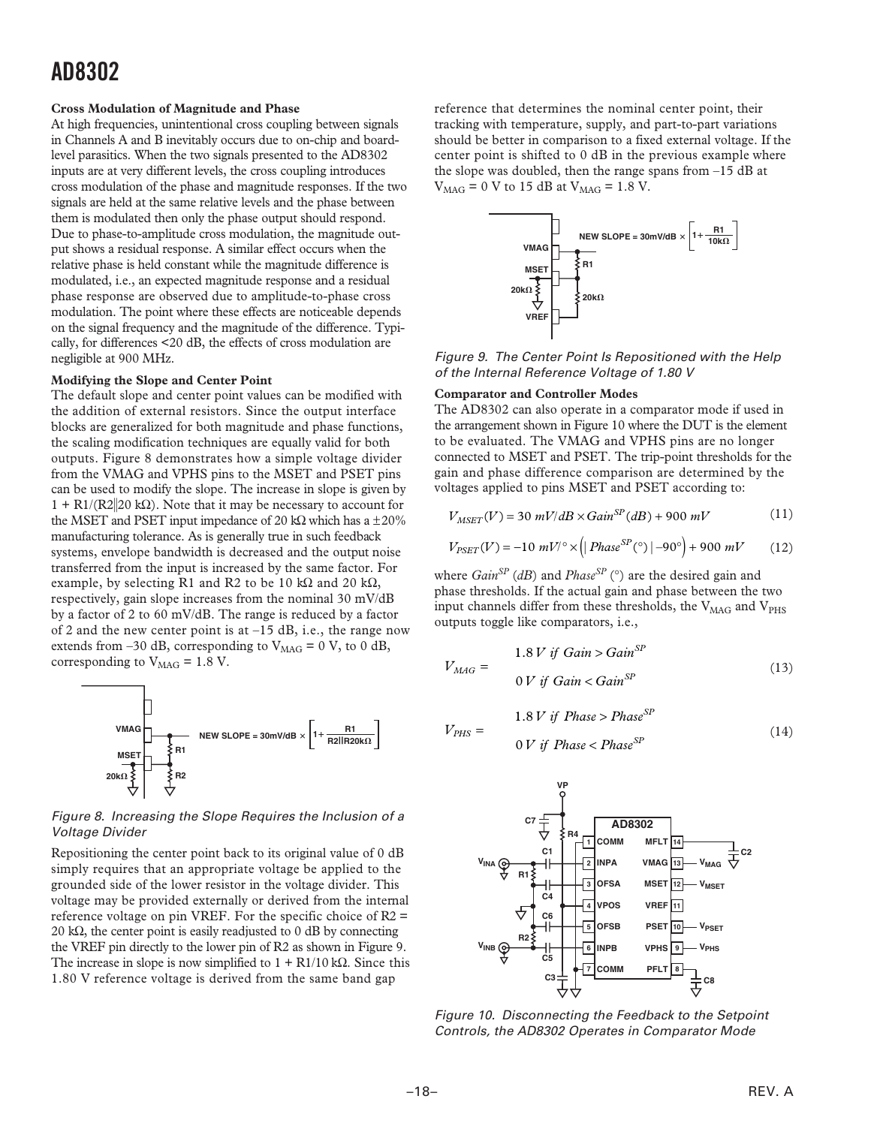#### **Cross Modulation of Magnitude and Phase**

At high frequencies, unintentional cross coupling between signals in Channels A and B inevitably occurs due to on-chip and boardlevel parasitics. When the two signals presented to the AD8302 inputs are at very different levels, the cross coupling introduces cross modulation of the phase and magnitude responses. If the two signals are held at the same relative levels and the phase between them is modulated then only the phase output should respond. Due to phase-to-amplitude cross modulation, the magnitude output shows a residual response. A similar effect occurs when the relative phase is held constant while the magnitude difference is modulated, i.e., an expected magnitude response and a residual phase response are observed due to amplitude-to-phase cross modulation. The point where these effects are noticeable depends on the signal frequency and the magnitude of the difference. Typically, for differences <20 dB, the effects of cross modulation are negligible at 900 MHz.

#### **Modifying the Slope and Center Point**

The default slope and center point values can be modified with the addition of external resistors. Since the output interface blocks are generalized for both magnitude and phase functions, the scaling modification techniques are equally valid for both outputs. Figure 8 demonstrates how a simple voltage divider from the VMAG and VPHS pins to the MSET and PSET pins can be used to modify the slope. The increase in slope is given by  $1 + R1/(R2||20 k\Omega)$ . Note that it may be necessary to account for the MSET and PSET input impedance of 20 kΩ which has a  $\pm 20\%$ manufacturing tolerance. As is generally true in such feedback systems, envelope bandwidth is decreased and the output noise transferred from the input is increased by the same factor. For example, by selecting R1 and R2 to be 10 kΩ and 20 kΩ, respectively, gain slope increases from the nominal 30 mV/dB by a factor of 2 to 60 mV/dB. The range is reduced by a factor of 2 and the new center point is at  $-15$  dB, i.e., the range now extends from –30 dB, corresponding to  $V_{\text{MAG}} = 0$  V, to 0 dB, corresponding to  $V_{\text{MAG}} = 1.8$  V.



Figure 8. Increasing the Slope Requires the Inclusion of a Voltage Divider

Repositioning the center point back to its original value of 0 dB simply requires that an appropriate voltage be applied to the grounded side of the lower resistor in the voltage divider. This voltage may be provided externally or derived from the internal reference voltage on pin VREF. For the specific choice of  $R2 =$ 20 kΩ, the center point is easily readjusted to 0 dB by connecting the VREF pin directly to the lower pin of R2 as shown in Figure 9. The increase in slope is now simplified to  $1 + R1/10 k\Omega$ . Since this 1.80 V reference voltage is derived from the same band gap

reference that determines the nominal center point, their tracking with temperature, supply, and part-to-part variations should be better in comparison to a fixed external voltage. If the center point is shifted to 0 dB in the previous example where the slope was doubled, then the range spans from –15 dB at  $V_{\text{MAG}} = 0$  V to 15 dB at  $V_{\text{MAG}} = 1.8$  V.



Figure 9. The Center Point Is Repositioned with the Help of the Internal Reference Voltage of 1.80 V

#### **Comparator and Controller Modes**

The AD8302 can also operate in a comparator mode if used in the arrangement shown in Figure 10 where the DUT is the element to be evaluated. The VMAG and VPHS pins are no longer connected to MSET and PSET. The trip-point thresholds for the gain and phase difference comparison are determined by the voltages applied to pins MSET and PSET according to:

$$
V_{MSET}(V) = 30 \ mV/dB \times Gain^{SP}(dB) + 900 \ mV \tag{11}
$$

$$
V_{PSET}(V) = -10 \ mV^{\circ} \times (|Phase^{SP} (°) | -90^{\circ}) + 900 \ mV \tag{12}
$$

where *GainSP* (*dB*) and *PhaseSP* (°) are the desired gain and phase thresholds. If the actual gain and phase between the two input channels differ from these thresholds, the  $V_{\text{MAG}}$  and  $V_{\text{PHS}}$ outputs toggle like comparators, i.e.,

$$
V_{MAG} = \begin{cases} 1.8 V \text{ if } \text{Gain} > \text{Gain}^{SP} \\ 0 V \text{ if } \text{Gain} < \text{Gain}^{SP} \end{cases} \tag{13}
$$

$$
V_{PHS} = 1.8 V \text{ if Phase} > Phase^{SP} \tag{14}
$$
\n
$$
V_{PHS} = 0 V \text{ if Phase} < Phase^{SP}
$$



Figure 10. Disconnecting the Feedback to the Setpoint Controls, the AD8302 Operates in Comparator Mode

*V*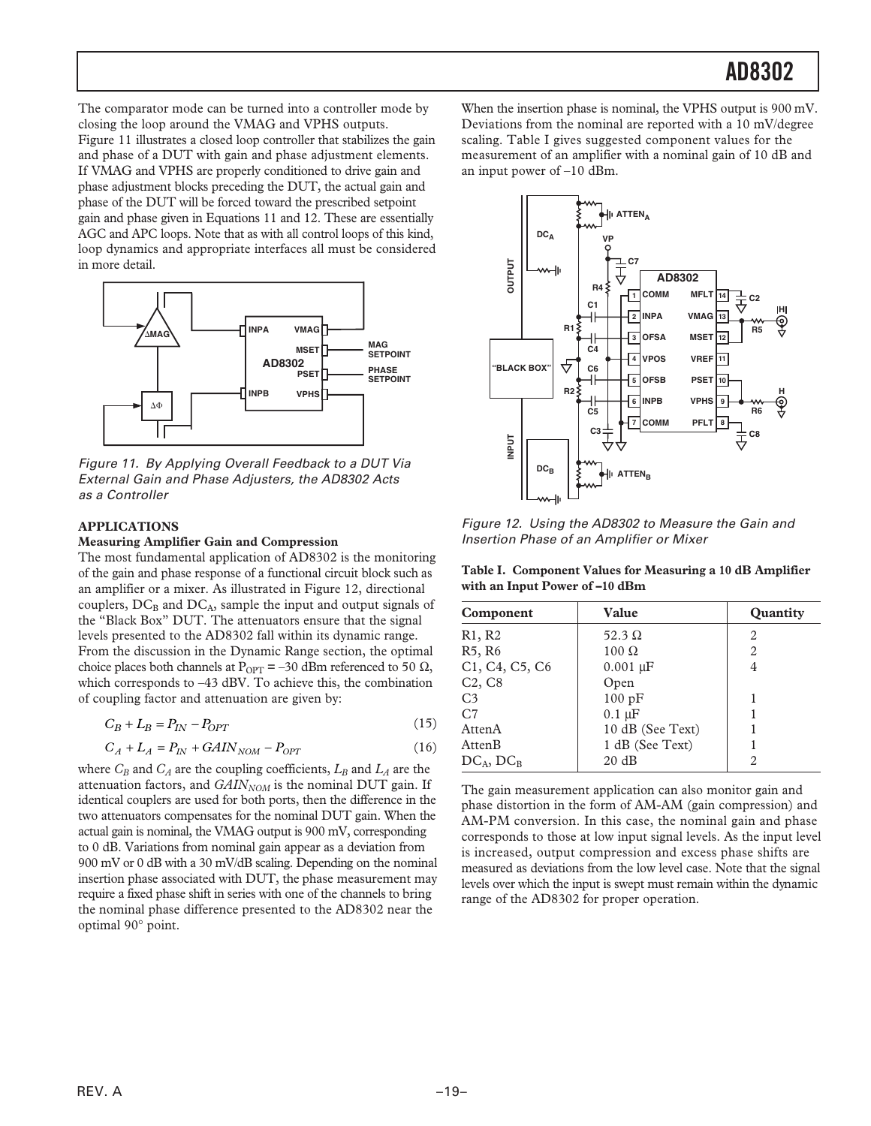The comparator mode can be turned into a controller mode by closing the loop around the VMAG and VPHS outputs. Figure 11 illustrates a closed loop controller that stabilizes the gain and phase of a DUT with gain and phase adjustment elements. If VMAG and VPHS are properly conditioned to drive gain and phase adjustment blocks preceding the DUT, the actual gain and phase of the DUT will be forced toward the prescribed setpoint gain and phase given in Equations 11 and 12. These are essentially AGC and APC loops. Note that as with all control loops of this kind, loop dynamics and appropriate interfaces all must be considered in more detail.



Figure 11. By Applying Overall Feedback to a DUT Via External Gain and Phase Adjusters, the AD8302 Acts as a Controller

#### **APPLICATIONS**

#### **Measuring Amplifier Gain and Compression**

The most fundamental application of AD8302 is the monitoring of the gain and phase response of a functional circuit block such as an amplifier or a mixer. As illustrated in Figure 12, directional couplers,  $DC_B$  and  $DC_A$ , sample the input and output signals of the "Black Box" DUT. The attenuators ensure that the signal levels presented to the AD8302 fall within its dynamic range. From the discussion in the Dynamic Range section, the optimal choice places both channels at P<sub>OPT</sub> = –30 dBm referenced to 50 Ω, which corresponds to –43 dBV. To achieve this, the combination of coupling factor and attenuation are given by:

$$
C_B + L_B = P_{IN} - P_{OPT} \tag{15}
$$

$$
C_A + L_A = P_{IN} + GAMN_{NOM} - P_{OPT}
$$
\n(16)

where  $C_B$  and  $C_A$  are the coupling coefficients,  $L_B$  and  $L_A$  are the attenuation factors, and  $GAIN_{NOM}$  is the nominal DUT gain. If identical couplers are used for both ports, then the difference in the two attenuators compensates for the nominal DUT gain. When the actual gain is nominal, the VMAG output is 900 mV, corresponding to 0 dB. Variations from nominal gain appear as a deviation from 900 mV or 0 dB with a 30 mV/dB scaling. Depending on the nominal insertion phase associated with DUT, the phase measurement may require a fixed phase shift in series with one of the channels to bring the nominal phase difference presented to the AD8302 near the optimal 90° point.

When the insertion phase is nominal, the VPHS output is 900 mV. Deviations from the nominal are reported with a 10 mV/degree scaling. Table I gives suggested component values for the measurement of an amplifier with a nominal gain of 10 dB and an input power of –10 dBm.



Figure 12. Using the AD8302 to Measure the Gain and Insertion Phase of an Amplifier or Mixer

**Table I. Component Values for Measuring a 10 dB Amplifier with an Input Power of –10 dBm**

| Component                       | Value            | <b>Quantity</b> |
|---------------------------------|------------------|-----------------|
| R1, R2                          | 52.3 $\Omega$    | 2               |
| R <sub>5</sub> , R <sub>6</sub> | $100 \Omega$     | 2               |
| C1, C4, C5, C6                  | $0.001 \mu F$    | 4               |
| C <sub>2</sub> , C <sub>8</sub> | Open             |                 |
| C <sub>3</sub>                  | 100 pF           |                 |
| C <sub>7</sub>                  | $0.1 \mu F$      |                 |
| AttenA                          | 10 dB (See Text) |                 |
| AttenB                          | 1 dB (See Text)  |                 |
| $DC_A, DC_B$                    | 20 dB            | 2               |

The gain measurement application can also monitor gain and phase distortion in the form of AM-AM (gain compression) and AM-PM conversion. In this case, the nominal gain and phase corresponds to those at low input signal levels. As the input level is increased, output compression and excess phase shifts are measured as deviations from the low level case. Note that the signal levels over which the input is swept must remain within the dynamic range of the AD8302 for proper operation.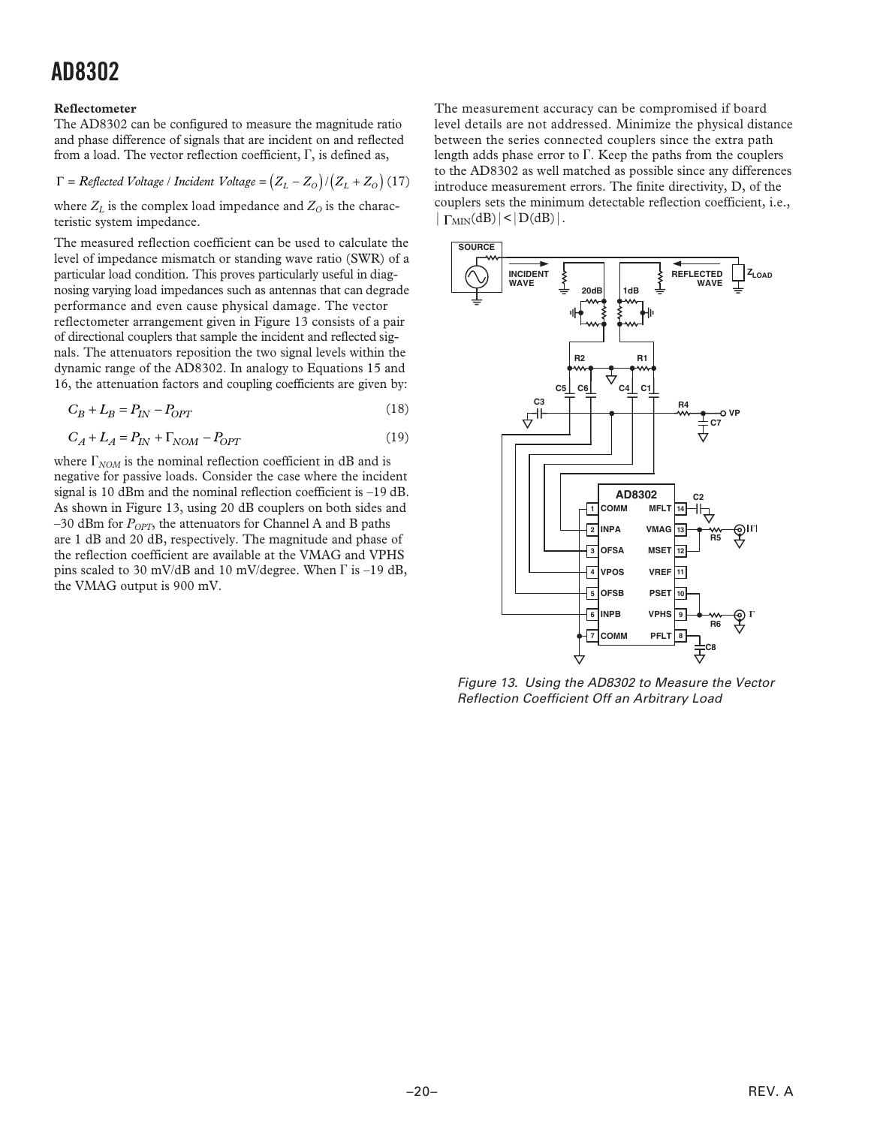#### **Reflectometer**

The AD8302 can be configured to measure the magnitude ratio and phase difference of signals that are incident on and reflected from a load. The vector reflection coefficient,  $\Gamma$ , is defined as,

$$
\Gamma = \text{Reflected Voltage} / \text{Incident Voltage} = (Z_L - Z_O) / (Z_L + Z_O) (17)
$$

where  $Z_L$  is the complex load impedance and  $Z_O$  is the characteristic system impedance.

The measured reflection coefficient can be used to calculate the level of impedance mismatch or standing wave ratio (SWR) of a particular load condition. This proves particularly useful in diagnosing varying load impedances such as antennas that can degrade performance and even cause physical damage. The vector reflectometer arrangement given in Figure 13 consists of a pair of directional couplers that sample the incident and reflected signals. The attenuators reposition the two signal levels within the dynamic range of the AD8302. In analogy to Equations 15 and 16, the attenuation factors and coupling coefficients are given by:

$$
C_B + L_B = P_{IN} - P_{OPT} \tag{18}
$$

$$
C_A + L_A = P_{IN} + \Gamma_{NOM} - P_{OPT}
$$
\n(19)

where  $\Gamma_{NOM}$  is the nominal reflection coefficient in dB and is negative for passive loads. Consider the case where the incident signal is 10 dBm and the nominal reflection coefficient is –19 dB. As shown in Figure 13, using 20 dB couplers on both sides and  $-30$  dBm for  $P_{OPT}$ , the attenuators for Channel A and B paths are 1 dB and 20 dB, respectively. The magnitude and phase of the reflection coefficient are available at the VMAG and VPHS pins scaled to 30 mV/dB and 10 mV/degree. When  $\Gamma$  is -19 dB, the VMAG output is 900 mV.

The measurement accuracy can be compromised if board level details are not addressed. Minimize the physical distance between the series connected couplers since the extra path length adds phase error to  $\Gamma$ . Keep the paths from the couplers to the AD8302 as well matched as possible since any differences introduce measurement errors. The finite directivity, D, of the couplers sets the minimum detectable reflection coefficient, i.e.,  $|\Gamma_{MIN}(dB)| < |D(dB)|$ .



Figure 13. Using the AD8302 to Measure the Vector Reflection Coefficient Off an Arbitrary Load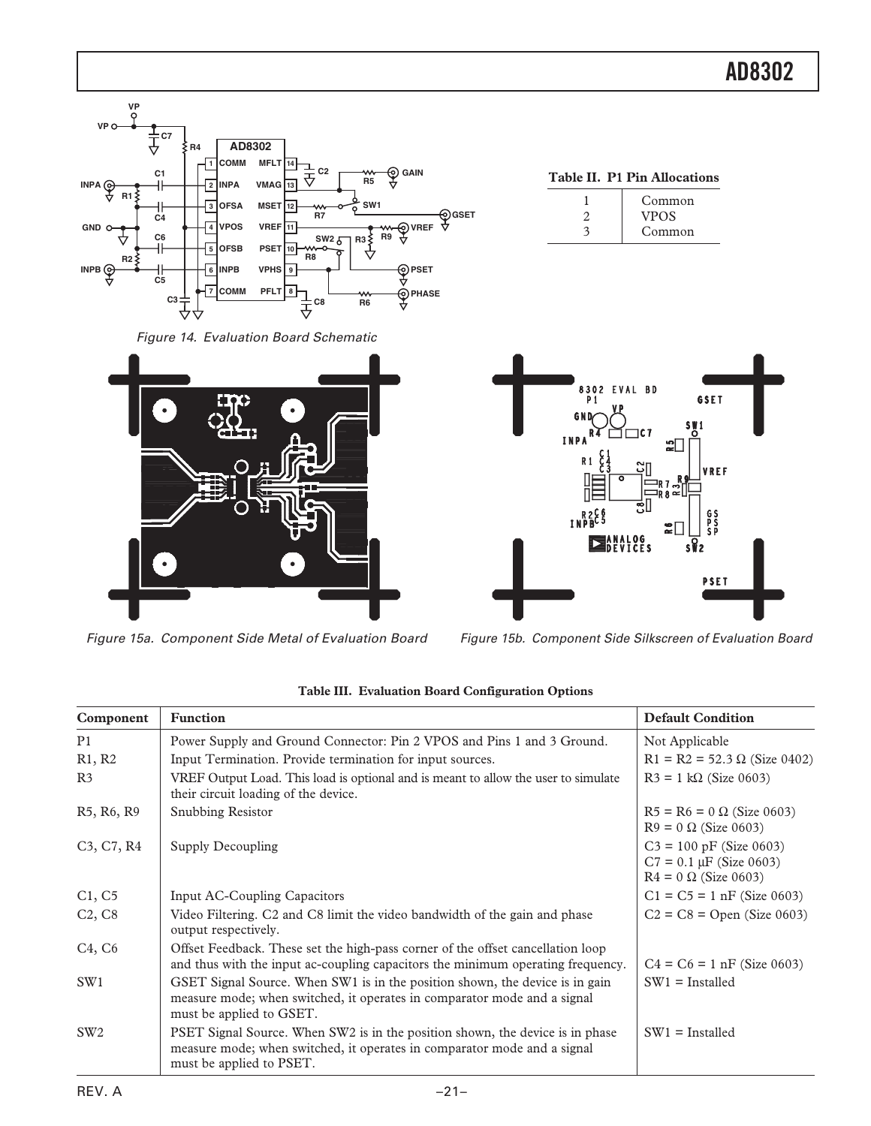

Figure 14. Evaluation Board Schematic



Figure 15a. Component Side Metal of Evaluation Board Figure 15b. Component Side Silkscreen of Evaluation Board

| <b>Table II. P1 Pin Allocations</b> |
|-------------------------------------|
| Common                              |
| <b>VPOS</b>                         |
| Common                              |



| Component                                        | <b>Function</b>                                                                                                                                                                       | <b>Default Condition</b>                                                                 |
|--------------------------------------------------|---------------------------------------------------------------------------------------------------------------------------------------------------------------------------------------|------------------------------------------------------------------------------------------|
| P1                                               | Power Supply and Ground Connector: Pin 2 VPOS and Pins 1 and 3 Ground.                                                                                                                | Not Applicable                                                                           |
| R1, R2                                           | Input Termination. Provide termination for input sources.                                                                                                                             | $R1 = R2 = 52.3 \Omega$ (Size 0402)                                                      |
| R <sub>3</sub>                                   | VREF Output Load. This load is optional and is meant to allow the user to simulate<br>their circuit loading of the device.                                                            | $R3 = 1 k\Omega$ (Size 0603)                                                             |
| R5, R6, R9                                       | Snubbing Resistor                                                                                                                                                                     | $R5 = R6 = 0 \Omega$ (Size 0603)<br>$R9 = 0 \Omega$ (Size 0603)                          |
| C <sub>3</sub> , C <sub>7</sub> , R <sub>4</sub> | Supply Decoupling                                                                                                                                                                     | $C3 = 100$ pF (Size 0603)<br>$C7 = 0.1 \mu F$ (Size 0603)<br>$R4 = 0 \Omega$ (Size 0603) |
| C1, C5                                           | <b>Input AC-Coupling Capacitors</b>                                                                                                                                                   | $C1 = C5 = 1$ nF (Size 0603)                                                             |
| C <sub>2</sub> , C <sub>8</sub>                  | Video Filtering. C2 and C8 limit the video bandwidth of the gain and phase<br>output respectively.                                                                                    | $C2 = C8 = Open (Size 0603)$                                                             |
| C4, C6                                           | Offset Feedback. These set the high-pass corner of the offset cancellation loop<br>and thus with the input ac-coupling capacitors the minimum operating frequency.                    | $C4 = C6 = 1$ nF (Size 0603)                                                             |
| SW <sub>1</sub>                                  | GSET Signal Source. When SW1 is in the position shown, the device is in gain<br>measure mode; when switched, it operates in comparator mode and a signal<br>must be applied to GSET.  | $SW1 =$ Installed                                                                        |
| SW <sub>2</sub>                                  | PSET Signal Source. When SW2 is in the position shown, the device is in phase<br>measure mode; when switched, it operates in comparator mode and a signal<br>must be applied to PSET. | $SW1 =$ Installed                                                                        |

|  | Table III. Evaluation Board Configuration Options |  |
|--|---------------------------------------------------|--|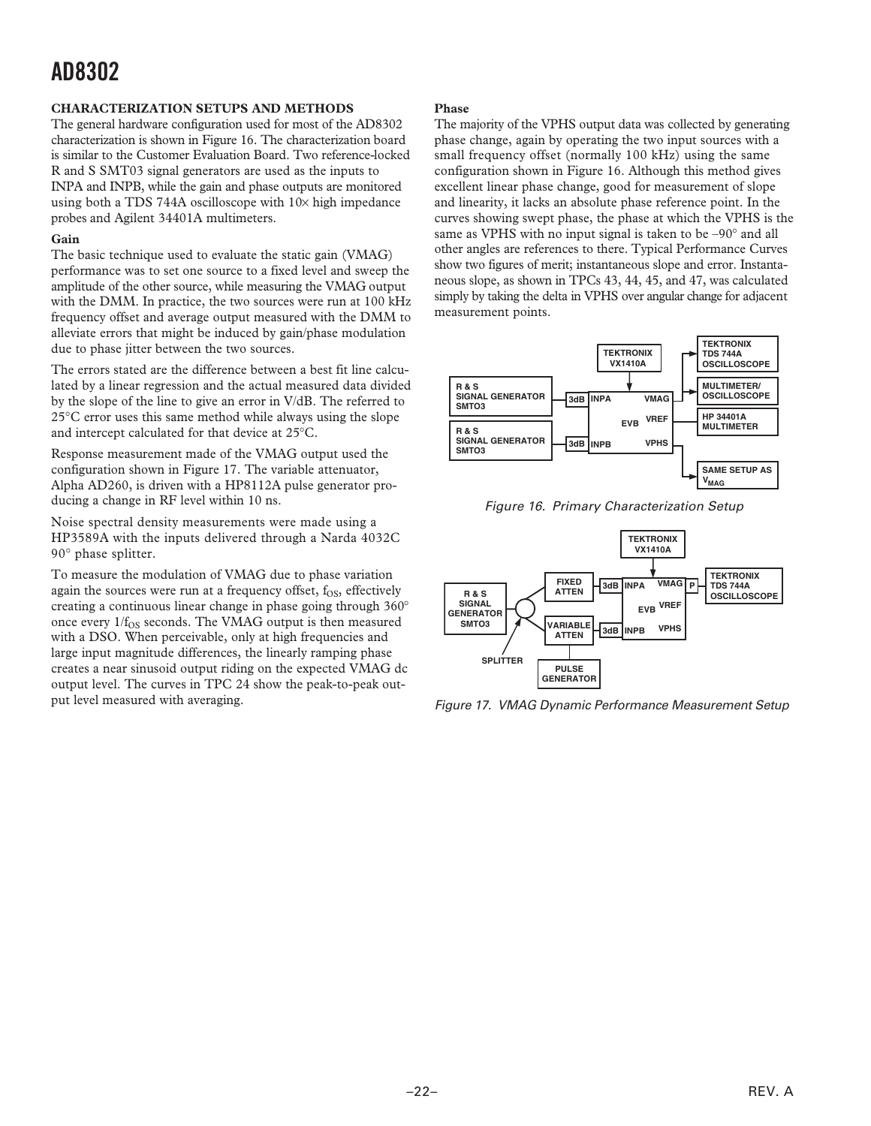#### **CHARACTERIZATION SETUPS AND METHODS**

The general hardware configuration used for most of the AD8302 characterization is shown in Figure 16. The characterization board is similar to the Customer Evaluation Board. Two reference-locked R and S SMT03 signal generators are used as the inputs to INPA and INPB, while the gain and phase outputs are monitored using both a TDS 744A oscilloscope with  $10\times$  high impedance probes and Agilent 34401A multimeters.

#### **Gain**

The basic technique used to evaluate the static gain (VMAG) performance was to set one source to a fixed level and sweep the amplitude of the other source, while measuring the VMAG output with the DMM. In practice, the two sources were run at 100 kHz frequency offset and average output measured with the DMM to alleviate errors that might be induced by gain/phase modulation due to phase jitter between the two sources.

The errors stated are the difference between a best fit line calculated by a linear regression and the actual measured data divided by the slope of the line to give an error in V/dB. The referred to 25°C error uses this same method while always using the slope and intercept calculated for that device at 25°C.

Response measurement made of the VMAG output used the configuration shown in Figure 17. The variable attenuator, Alpha AD260, is driven with a HP8112A pulse generator producing a change in RF level within 10 ns.

Noise spectral density measurements were made using a HP3589A with the inputs delivered through a Narda 4032C 90° phase splitter.

To measure the modulation of VMAG due to phase variation again the sources were run at a frequency offset,  $f_{OS}$ , effectively creating a continuous linear change in phase going through 360° once every  $1/f_{OS}$  seconds. The VMAG output is then measured with a DSO. When perceivable, only at high frequencies and large input magnitude differences, the linearly ramping phase creates a near sinusoid output riding on the expected VMAG dc output level. The curves in TPC 24 show the peak-to-peak output level measured with averaging.

#### **Phase**

The majority of the VPHS output data was collected by generating phase change, again by operating the two input sources with a small frequency offset (normally 100 kHz) using the same configuration shown in Figure 16. Although this method gives excellent linear phase change, good for measurement of slope and linearity, it lacks an absolute phase reference point. In the curves showing swept phase, the phase at which the VPHS is the same as VPHS with no input signal is taken to be –90° and all other angles are references to there. Typical Performance Curves show two figures of merit; instantaneous slope and error. Instantaneous slope, as shown in TPCs 43, 44, 45, and 47, was calculated simply by taking the delta in VPHS over angular change for adjacent measurement points.



Figure 16. Primary Characterization Setup



Figure 17. VMAG Dynamic Performance Measurement Setup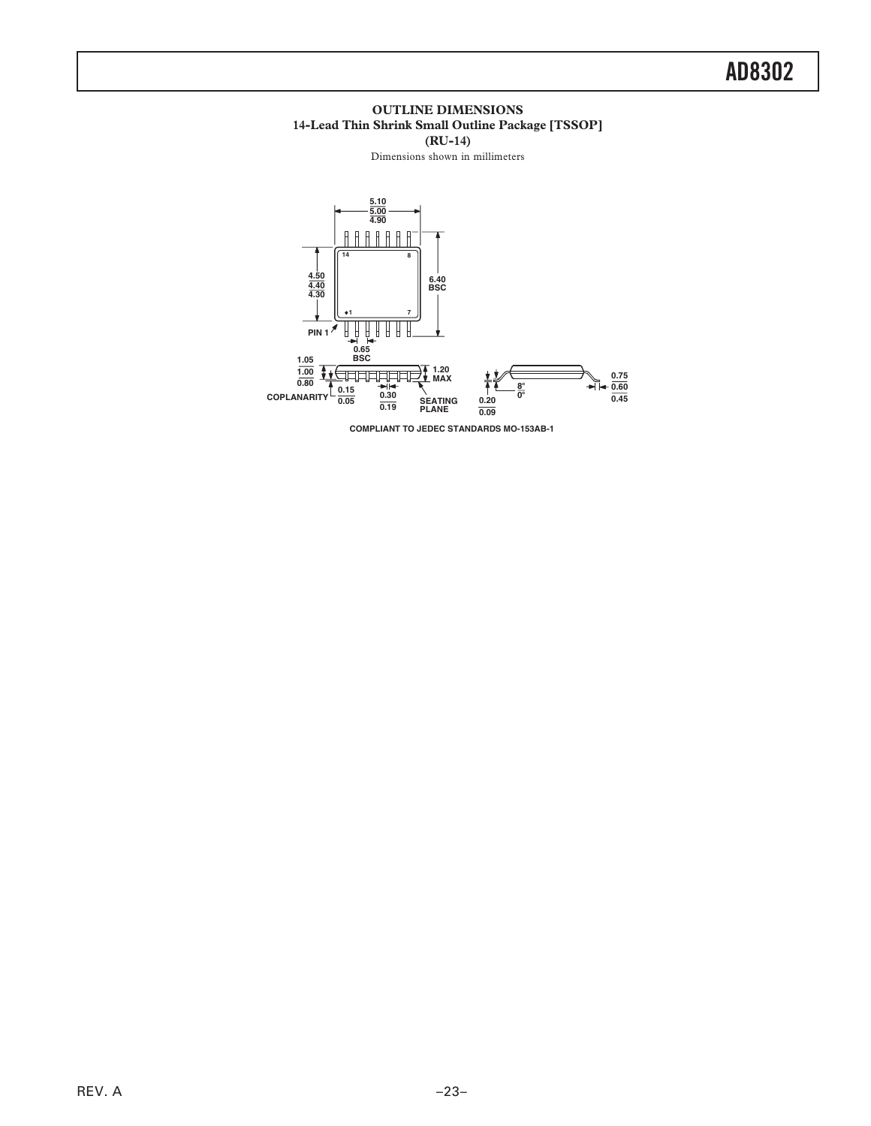#### **OUTLINE DIMENSIONS 14-Lead Thin Shrink Small Outline Package [TSSOP] (RU-14)**

Dimensions shown in millimeters



**COMPLIANT TO JEDEC STANDARDS MO-153AB-1**